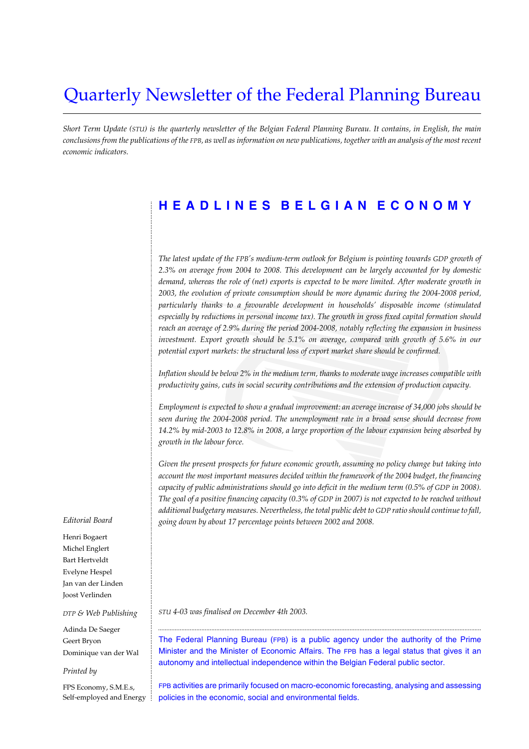# Quarterly Newsletter of the Federal Planning Bureau

*Short Term Update (STU) is the quarterly newsletter of the Belgian Federal Planning Bureau. It contains, in English, the main conclusions from the publications of the FPB, as well as information on new publications, together with an analysis of the most recent economic indicators.*

## **HEADLINES BELGIAN ECONOMY**

*The latest update of the FPB's medium-term outlook for Belgium is pointing towards GDP growth of 2.3% on average from 2004 to 2008. This development can be largely accounted for by domestic demand, whereas the role of (net) exports is expected to be more limited. After moderate growth in 2003, the evolution of private consumption should be more dynamic during the 2004-2008 period, particularly thanks to a favourable development in households' disposable income (stimulated especially by reductions in personal income tax). The growth in gross fixed capital formation should reach an average of 2.9% during the period 2004-2008, notably reflecting the expansion in business investment. Export growth should be 5.1% on average, compared with growth of 5.6% in our potential export markets: the structural loss of export market share should be confirmed.*

*Inflation should be below 2% in the medium term, thanks to moderate wage increases compatible with productivity gains, cuts in social security contributions and the extension of production capacity.*

*Employment is expected to show a gradual improvement: an average increase of 34,000 jobs should be seen during the 2004-2008 period. The unemployment rate in a broad sense should decrease from 14.2% by mid-2003 to 12.8% in 2008, a large proportion of the labour expansion being absorbed by growth in the labour force.* 

*Given the present prospects for future economic growth, assuming no policy change but taking into account the most important measures decided within the framework of the 2004 budget, the financing capacity of public administrations should go into deficit in the medium term (0.5% of GDP in 2008). The goal of a positive financing capacity (0.3% of GDP in 2007) is not expected to be reached without additional budgetary measures. Nevertheless, the total public debt to GDP ratio should continue to fall, going down by about 17 percentage points between 2002 and 2008.*

#### *Editorial Board*

............................................................................................................................................................................................................................................................................................................

Henri Bogaert Michel Englert Bart Hertveldt Evelyne Hespel Jan van der Linden Joost Verlinden

#### *DTP & Web Publishing*

Adinda De Saeger Geert Bryon Dominique van der Wal

#### *Printed by*

FPS Economy, S.M.E.s, Self-employed and Energy *STU 4-03 was finalised on December 4th 2003.*

The Federal Planning Bureau (FPB) is a public agency under the authority of the Prime Minister and the Minister of Economic Affairs. The FPB has a legal status that gives it an autonomy and intellectual independence within the Belgian Federal public sector.

..................................................................................................................................................................................................

FPB activities are primarily focused on macro-economic forecasting, analysing and assessing policies in the economic, social and environmental fields.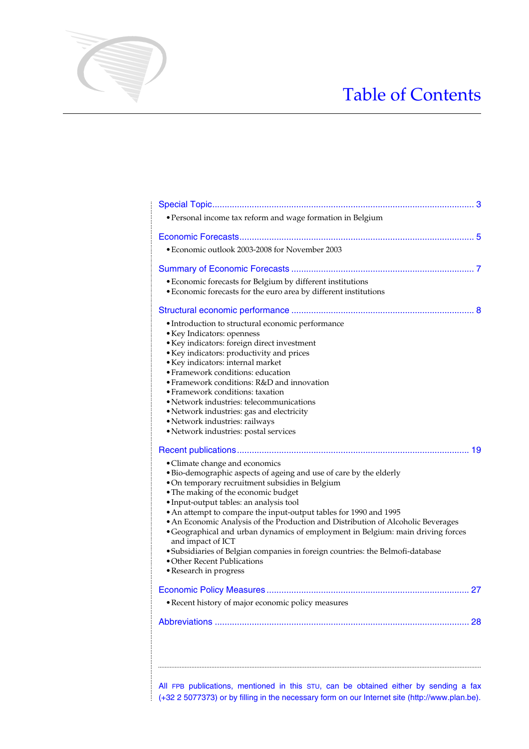# Table of Contents

| · Personal income tax reform and wage formation in Belgium                                                                                                                                                                                                                                                                                                                                                                                                                                                                                                                                                                                            |
|-------------------------------------------------------------------------------------------------------------------------------------------------------------------------------------------------------------------------------------------------------------------------------------------------------------------------------------------------------------------------------------------------------------------------------------------------------------------------------------------------------------------------------------------------------------------------------------------------------------------------------------------------------|
|                                                                                                                                                                                                                                                                                                                                                                                                                                                                                                                                                                                                                                                       |
| • Economic outlook 2003-2008 for November 2003                                                                                                                                                                                                                                                                                                                                                                                                                                                                                                                                                                                                        |
|                                                                                                                                                                                                                                                                                                                                                                                                                                                                                                                                                                                                                                                       |
| • Economic forecasts for Belgium by different institutions<br>• Economic forecasts for the euro area by different institutions                                                                                                                                                                                                                                                                                                                                                                                                                                                                                                                        |
|                                                                                                                                                                                                                                                                                                                                                                                                                                                                                                                                                                                                                                                       |
| • Introduction to structural economic performance<br>• Key Indicators: openness<br>· Key indicators: foreign direct investment<br>• Key indicators: productivity and prices<br>• Key indicators: internal market<br>• Framework conditions: education<br>• Framework conditions: R&D and innovation<br>• Framework conditions: taxation<br>• Network industries: telecommunications<br>• Network industries: gas and electricity<br>· Network industries: railways<br>• Network industries: postal services                                                                                                                                           |
| • Climate change and economics<br>• Bio-demographic aspects of ageing and use of care by the elderly<br>• On temporary recruitment subsidies in Belgium<br>• The making of the economic budget<br>· Input-output tables: an analysis tool<br>• An attempt to compare the input-output tables for 1990 and 1995<br>• An Economic Analysis of the Production and Distribution of Alcoholic Beverages<br>• Geographical and urban dynamics of employment in Belgium: main driving forces<br>and impact of ICT<br>· Subsidiaries of Belgian companies in foreign countries: the Belmofi-database<br>• Other Recent Publications<br>• Research in progress |
|                                                                                                                                                                                                                                                                                                                                                                                                                                                                                                                                                                                                                                                       |
| · Recent history of major economic policy measures                                                                                                                                                                                                                                                                                                                                                                                                                                                                                                                                                                                                    |
| 28                                                                                                                                                                                                                                                                                                                                                                                                                                                                                                                                                                                                                                                    |
|                                                                                                                                                                                                                                                                                                                                                                                                                                                                                                                                                                                                                                                       |

............................................................................................................................................................................................................................................................................................................

All FPB publications, mentioned in this STU, can be obtained either by sending a fax  $\frac{1}{2}$  (+32 2 5077373) or by filling in the necessary form on our Internet site (http://www.plan.be).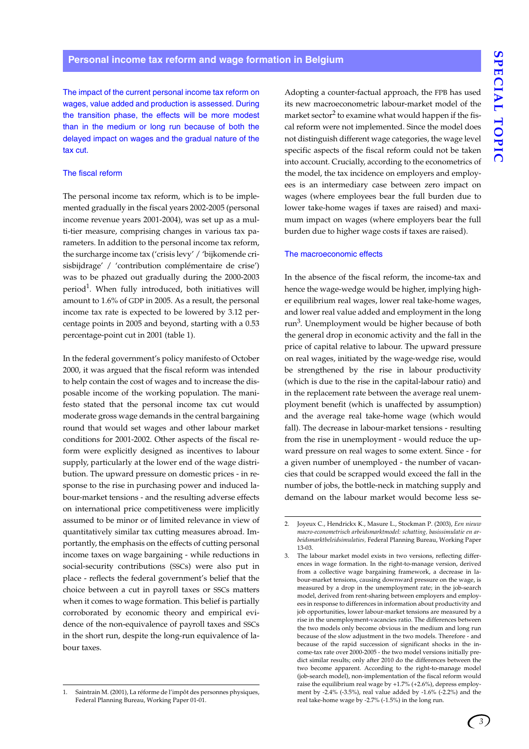The impact of the current personal income tax reform on wages, value added and production is assessed. During the transition phase, the effects will be more modest than in the medium or long run because of both the delayed impact on wages and the gradual nature of the tax cut.

#### The fiscal reform

The personal income tax reform, which is to be implemented gradually in the fiscal years 2002-2005 (personal income revenue years 2001-2004), was set up as a multi-tier measure, comprising changes in various tax parameters. In addition to the personal income tax reform, the surcharge income tax ('crisis levy' / 'bijkomende crisisbijdrage' / 'contribution complémentaire de crise') was to be phazed out gradually during the 2000-2003 period<sup>1</sup>. When fully introduced, both initiatives will amount to 1.6% of GDP in 2005. As a result, the personal income tax rate is expected to be lowered by 3.12 percentage points in 2005 and beyond, starting with a 0.53 percentage-point cut in 2001 (table 1).

In the federal government's policy manifesto of October 2000, it was argued that the fiscal reform was intended to help contain the cost of wages and to increase the disposable income of the working population. The manifesto stated that the personal income tax cut would moderate gross wage demands in the central bargaining round that would set wages and other labour market conditions for 2001-2002. Other aspects of the fiscal reform were explicitly designed as incentives to labour supply, particularly at the lower end of the wage distribution. The upward pressure on domestic prices - in response to the rise in purchasing power and induced labour-market tensions - and the resulting adverse effects on international price competitiveness were implicitly assumed to be minor or of limited relevance in view of quantitatively similar tax cutting measures abroad. Importantly, the emphasis on the effects of cutting personal income taxes on wage bargaining - while reductions in social-security contributions (SSCs) were also put in place - reflects the federal government's belief that the choice between a cut in payroll taxes or SSCs matters when it comes to wage formation. This belief is partially corroborated by economic theory and empirical evidence of the non-equivalence of payroll taxes and SSCs in the short run, despite the long-run equivalence of labour taxes.

Adopting a counter-factual approach, the FPB has used its new macroeconometric labour-market model of the market sector $^2$  to examine what would happen if the fiscal reform were not implemented. Since the model does not distinguish different wage categories, the wage level specific aspects of the fiscal reform could not be taken into account. Crucially, according to the econometrics of the model, the tax incidence on employers and employees is an intermediary case between zero impact on wages (where employees bear the full burden due to lower take-home wages if taxes are raised) and maximum impact on wages (where employers bear the full burden due to higher wage costs if taxes are raised).

#### The macroeconomic effects

In the absence of the fiscal reform, the income-tax and hence the wage-wedge would be higher, implying higher equilibrium real wages, lower real take-home wages, and lower real value added and employment in the long run<sup>3</sup>. Unemployment would be higher because of both the general drop in economic activity and the fall in the price of capital relative to labour. The upward pressure on real wages, initiated by the wage-wedge rise, would be strengthened by the rise in labour productivity (which is due to the rise in the capital-labour ratio) and in the replacement rate between the average real unemployment benefit (which is unaffected by assumption) and the average real take-home wage (which would fall). The decrease in labour-market tensions - resulting from the rise in unemployment - would reduce the upward pressure on real wages to some extent. Since - for a given number of unemployed - the number of vacancies that could be scrapped would exceed the fall in the number of jobs, the bottle-neck in matching supply and demand on the labour market would become less se-

<sup>1.</sup> Saintrain M. (2001), La réforme de l'impôt des personnes physiques, Federal Planning Bureau, Working Paper 01-01.

<sup>2.</sup> Joyeux C., Hendrickx K., Masure L., Stockman P. (2003), *Een nieuw macro-econometrisch arbeidsmarktmodel: schatting, basissimulatie en arbeidsmarktbeleidsimulaties,* Federal Planning Bureau, Working Paper 13-03.

<sup>3.</sup> The labour market model exists in two versions, reflecting differences in wage formation. In the right-to-manage version, derived from a collective wage bargaining framework, a decrease in labour-market tensions, causing downward pressure on the wage, is measured by a drop in the unemployment rate; in the job-search model, derived from rent-sharing between employers and employees in response to differences in information about productivity and job opportunities, lower labour-market tensions are measured by a rise in the unemployment-vacancies ratio. The differences between the two models only become obvious in the medium and long run because of the slow adjustment in the two models. Therefore - and because of the rapid succession of significant shocks in the income-tax rate over 2000-2005 - the two model versions initially predict similar results; only after 2010 do the differences between the two become apparent. According to the right-to-manage model (job-search model), non-implementation of the fiscal reform would raise the equilibrium real wage by +1.7% (+2.6%), depress employment by -2.4% (-3.5%), real value added by -1.6% (-2.2%) and the real take-home wage by -2.7% (-1.5%) in the long run.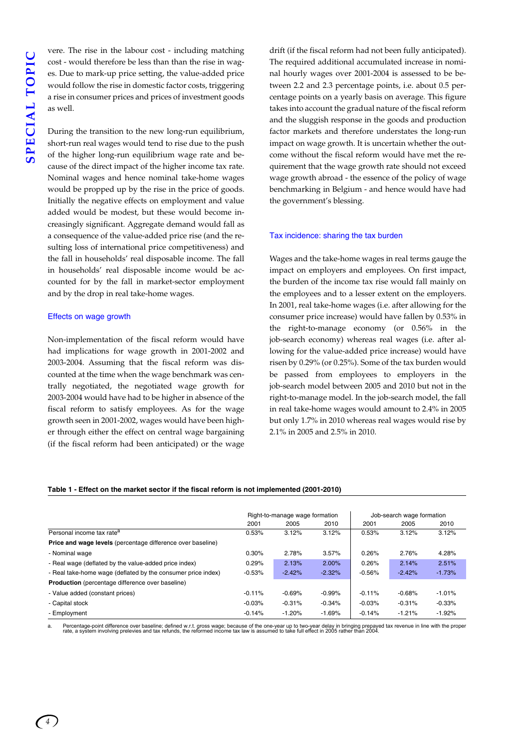vere. The rise in the labour cost - including matching cost - would therefore be less than than the rise in wages. Due to mark-up price setting, the value-added price would follow the rise in domestic factor costs, triggering a rise in consumer prices and prices of investment goods as well.

During the transition to the new long-run equilibrium, short-run real wages would tend to rise due to the push of the higher long-run equilibrium wage rate and because of the direct impact of the higher income tax rate. Nominal wages and hence nominal take-home wages would be propped up by the rise in the price of goods. Initially the negative effects on employment and value added would be modest, but these would become increasingly significant. Aggregate demand would fall as a consequence of the value-added price rise (and the resulting loss of international price competitiveness) and the fall in households' real disposable income. The fall in households' real disposable income would be accounted for by the fall in market-sector employment and by the drop in real take-home wages.

#### Effects on wage growth

Non-implementation of the fiscal reform would have had implications for wage growth in 2001-2002 and 2003-2004. Assuming that the fiscal reform was discounted at the time when the wage benchmark was centrally negotiated, the negotiated wage growth for 2003-2004 would have had to be higher in absence of the fiscal reform to satisfy employees. As for the wage growth seen in 2001-2002, wages would have been higher through either the effect on central wage bargaining (if the fiscal reform had been anticipated) or the wage

drift (if the fiscal reform had not been fully anticipated). The required additional accumulated increase in nominal hourly wages over 2001-2004 is assessed to be between 2.2 and 2.3 percentage points, i.e. about 0.5 percentage points on a yearly basis on average. This figure takes into account the gradual nature of the fiscal reform and the sluggish response in the goods and production factor markets and therefore understates the long-run impact on wage growth. It is uncertain whether the outcome without the fiscal reform would have met the requirement that the wage growth rate should not exceed wage growth abroad - the essence of the policy of wage benchmarking in Belgium - and hence would have had the government's blessing.

#### Tax incidence: sharing the tax burden

Wages and the take-home wages in real terms gauge the impact on employers and employees. On first impact, the burden of the income tax rise would fall mainly on the employees and to a lesser extent on the employers. In 2001, real take-home wages (i.e. after allowing for the consumer price increase) would have fallen by 0.53% in the right-to-manage economy (or 0.56% in the job-search economy) whereas real wages (i.e. after allowing for the value-added price increase) would have risen by 0.29% (or 0.25%). Some of the tax burden would be passed from employees to employers in the job-search model between 2005 and 2010 but not in the right-to-manage model. In the job-search model, the fall in real take-home wages would amount to 2.4% in 2005 but only 1.7% in 2010 whereas real wages would rise by 2.1% in 2005 and 2.5% in 2010.

#### **Table 1 - Effect on the market sector if the fiscal reform is not implemented (2001-2010)**

|                                                                    | Right-to-manage wage formation |          |          | Job-search wage formation |          |          |
|--------------------------------------------------------------------|--------------------------------|----------|----------|---------------------------|----------|----------|
|                                                                    | 2001                           | 2005     | 2010     | 2001                      | 2005     | 2010     |
| Personal income tax rate <sup>a</sup>                              | 0.53%                          | 3.12%    | 3.12%    | 0.53%                     | 3.12%    | 3.12%    |
| <b>Price and wage levels</b> (percentage difference over baseline) |                                |          |          |                           |          |          |
| - Nominal wage                                                     | 0.30%                          | 2.78%    | 3.57%    | 0.26%                     | 2.76%    | 4.28%    |
| - Real wage (deflated by the value-added price index)              | 0.29%                          | 2.13%    | 2.00%    | 0.26%                     | 2.14%    | 2.51%    |
| - Real take-home wage (deflated by the consumer price index)       | $-0.53%$                       | $-2.42%$ | $-2.32%$ | $-0.56%$                  | $-2.42%$ | $-1.73%$ |
| <b>Production</b> (percentage difference over baseline)            |                                |          |          |                           |          |          |
| - Value added (constant prices)                                    | $-0.11%$                       | $-0.69%$ | $-0.99%$ | $-0.11%$                  | $-0.68%$ | $-1.01%$ |
| - Capital stock                                                    | $-0.03%$                       | $-0.31%$ | $-0.34%$ | $-0.03%$                  | $-0.31%$ | $-0.33%$ |
| - Employment                                                       | $-0.14%$                       | $-1.20%$ | $-1.69%$ | $-0.14%$                  | $-1.21%$ | $-1.92%$ |

a. Percentage-point difference over baseline; defined w.r.t. gross wage; because of the one-year up to two-year delay in bringing prepayed tax revenue in line with the proper<br>rate, a system involving prelevies and tax refu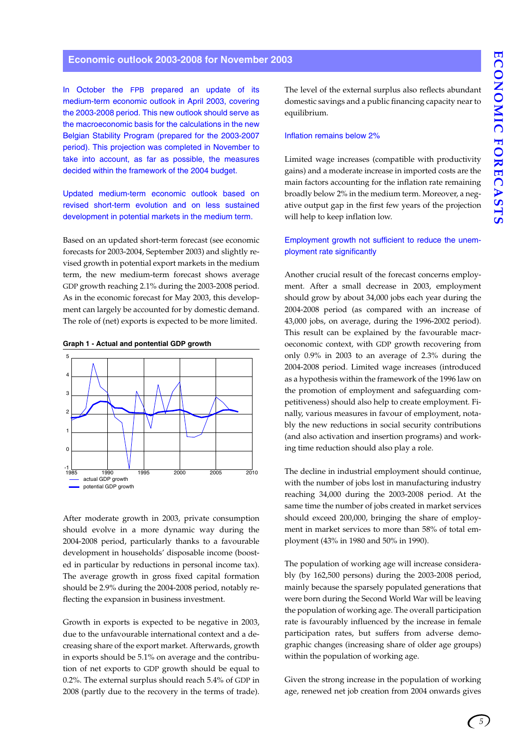In October the FPB prepared an update of its medium-term economic outlook in April 2003, covering the 2003-2008 period. This new outlook should serve as the macroeconomic basis for the calculations in the new Belgian Stability Program (prepared for the 2003-2007 period). This projection was completed in November to take into account, as far as possible, the measures decided within the framework of the 2004 budget.

Updated medium-term economic outlook based on revised short-term evolution and on less sustained development in potential markets in the medium term.

Based on an updated short-term forecast (see economic forecasts for 2003-2004, September 2003) and slightly revised growth in potential export markets in the medium term, the new medium-term forecast shows average GDP growth reaching 2.1% during the 2003-2008 period. As in the economic forecast for May 2003, this development can largely be accounted for by domestic demand. The role of (net) exports is expected to be more limited.





After moderate growth in 2003, private consumption should evolve in a more dynamic way during the 2004-2008 period, particularly thanks to a favourable development in households' disposable income (boosted in particular by reductions in personal income tax). The average growth in gross fixed capital formation should be 2.9% during the 2004-2008 period, notably reflecting the expansion in business investment.

Growth in exports is expected to be negative in 2003, due to the unfavourable international context and a decreasing share of the export market. Afterwards, growth in exports should be 5.1% on average and the contribution of net exports to GDP growth should be equal to 0.2%. The external surplus should reach 5.4% of GDP in 2008 (partly due to the recovery in the terms of trade).

The level of the external surplus also reflects abundant domestic savings and a public financing capacity near to equilibrium.

#### Inflation remains below 2%

Limited wage increases (compatible with productivity gains) and a moderate increase in imported costs are the main factors accounting for the inflation rate remaining broadly below 2% in the medium term. Moreover, a negative output gap in the first few years of the projection will help to keep inflation low.

#### Employment growth not sufficient to reduce the unemployment rate significantly

Another crucial result of the forecast concerns employment. After a small decrease in 2003, employment should grow by about 34,000 jobs each year during the 2004-2008 period (as compared with an increase of 43,000 jobs, on average, during the 1996-2002 period). This result can be explained by the favourable macroeconomic context, with GDP growth recovering from only 0.9% in 2003 to an average of 2.3% during the 2004-2008 period. Limited wage increases (introduced as a hypothesis within the framework of the 1996 law on the promotion of employment and safeguarding competitiveness) should also help to create employment. Finally, various measures in favour of employment, notably the new reductions in social security contributions (and also activation and insertion programs) and working time reduction should also play a role.

The decline in industrial employment should continue, with the number of jobs lost in manufacturing industry reaching 34,000 during the 2003-2008 period. At the same time the number of jobs created in market services should exceed 200,000, bringing the share of employment in market services to more than 58% of total employment (43% in 1980 and 50% in 1990).

The population of working age will increase considerably (by 162,500 persons) during the 2003-2008 period, mainly because the sparsely populated generations that were born during the Second World War will be leaving the population of working age. The overall participation rate is favourably influenced by the increase in female participation rates, but suffers from adverse demographic changes (increasing share of older age groups) within the population of working age.

Given the strong increase in the population of working age, renewed net job creation from 2004 onwards gives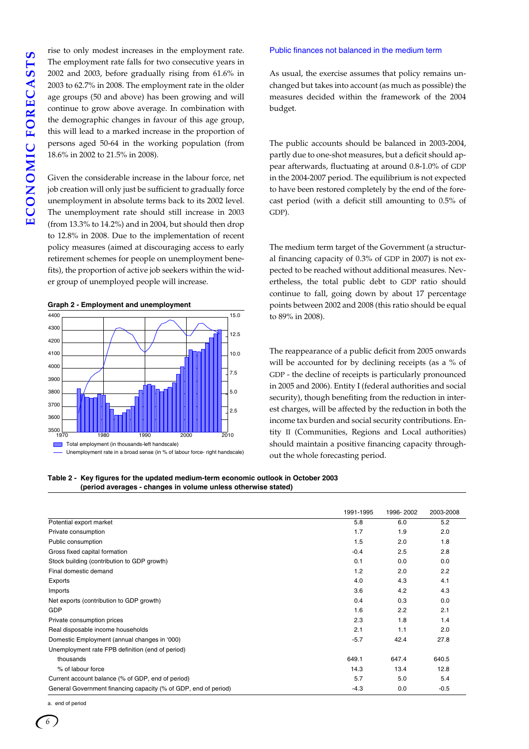rise to only modest increases in the employment rate. The employment rate falls for two consecutive years in 2002 and 2003, before gradually rising from 61.6% in 2003 to 62.7% in 2008. The employment rate in the older age groups (50 and above) has been growing and will continue to grow above average. In combination with the demographic changes in favour of this age group, this will lead to a marked increase in the proportion of persons aged 50-64 in the working population (from 18.6% in 2002 to 21.5% in 2008).

Given the considerable increase in the labour force, net job creation will only just be sufficient to gradually force unemployment in absolute terms back to its 2002 level. The unemployment rate should still increase in 2003 (from 13.3% to 14.2%) and in 2004, but should then drop to 12.8% in 2008. Due to the implementation of recent policy measures (aimed at discouraging access to early retirement schemes for people on unemployment benefits), the proportion of active job seekers within the wider group of unemployed people will increase.

#### **Graph 2 - Employment and unemployment**



Unemployment rate in a broad sense (in % of labour force- right handscale)

**Table 2 - Key figures for the updated medium-term economic outlook in October 2003 (period averages - changes in volume unless otherwise stated)** 

#### Public finances not balanced in the medium term

As usual, the exercise assumes that policy remains unchanged but takes into account (as much as possible) the measures decided within the framework of the 2004 budget.

The public accounts should be balanced in 2003-2004, partly due to one-shot measures, but a deficit should appear afterwards, fluctuating at around 0.8-1.0% of GDP in the 2004-2007 period. The equilibrium is not expected to have been restored completely by the end of the forecast period (with a deficit still amounting to 0.5% of GDP).

The medium term target of the Government (a structural financing capacity of 0.3% of GDP in 2007) is not expected to be reached without additional measures. Nevertheless, the total public debt to GDP ratio should continue to fall, going down by about 17 percentage points between 2002 and 2008 (this ratio should be equal to 89% in 2008).

The reappearance of a public deficit from 2005 onwards will be accounted for by declining receipts (as a % of GDP - the decline of receipts is particularly pronounced in 2005 and 2006). Entity I (federal authorities and social security), though benefiting from the reduction in interest charges, will be affected by the reduction in both the income tax burden and social security contributions. Entity II (Communities, Regions and Local authorities) should maintain a positive financing capacity throughout the whole forecasting period.

|                                                                 | 1991-1995 | 1996-2002 | 2003-2008 |
|-----------------------------------------------------------------|-----------|-----------|-----------|
| Potential export market                                         | 5.8       | 6.0       | 5.2       |
| Private consumption                                             | 1.7       | 1.9       | 2.0       |
| Public consumption                                              | 1.5       | 2.0       | 1.8       |
| Gross fixed capital formation                                   | $-0.4$    | 2.5       | 2.8       |
| Stock building (contribution to GDP growth)                     | 0.1       | 0.0       | 0.0       |
| Final domestic demand                                           | 1.2       | 2.0       | 2.2       |
| Exports                                                         | 4.0       | 4.3       | 4.1       |
| Imports                                                         | 3.6       | 4.2       | 4.3       |
| Net exports (contribution to GDP growth)                        | 0.4       | 0.3       | 0.0       |
| <b>GDP</b>                                                      | 1.6       | 2.2       | 2.1       |
| Private consumption prices                                      | 2.3       | 1.8       | 1.4       |
| Real disposable income households                               | 2.1       | 1.1       | 2.0       |
| Domestic Employment (annual changes in '000)                    | $-5.7$    | 42.4      | 27.8      |
| Unemployment rate FPB definition (end of period)                |           |           |           |
| thousands                                                       | 649.1     | 647.4     | 640.5     |
| % of labour force                                               | 14.3      | 13.4      | 12.8      |
| Current account balance (% of GDP, end of period)               | 5.7       | 5.0       | 5.4       |
| General Government financing capacity (% of GDP, end of period) | $-4.3$    | 0.0       | $-0.5$    |

a. end of period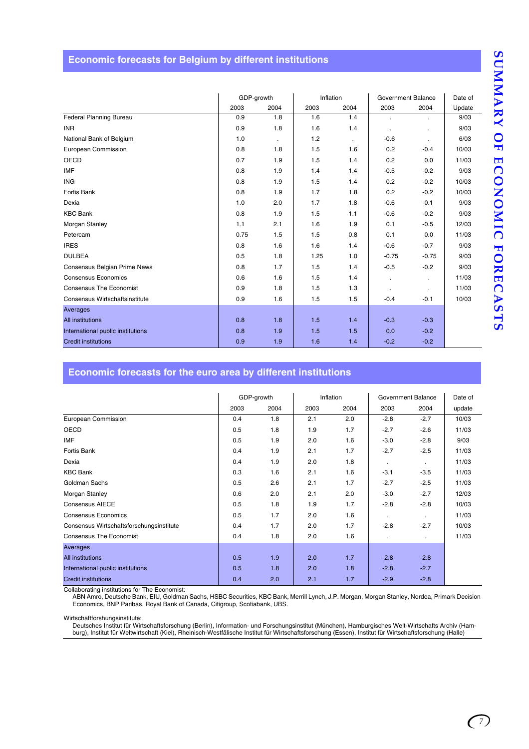## **Economic forecasts for Belgium by different institutions**

|                                   | GDP-growth |      | Inflation |              | Government Balance |                | Date of |
|-----------------------------------|------------|------|-----------|--------------|--------------------|----------------|---------|
|                                   | 2003       | 2004 | 2003      | 2004         | 2003               | 2004           | Update  |
| Federal Planning Bureau           | 0.9        | 1.8  | 1.6       | 1.4          | ä,                 | ÷.             | 9/03    |
| <b>INR</b>                        | 0.9        | 1.8  | 1.6       | 1.4          | ä,                 | ä,             | 9/03    |
| National Bank of Belgium          | 1.0        | ×.   | 1.2       | $\mathbf{r}$ | $-0.6$             | $\bullet$      | 6/03    |
| European Commission               | 0.8        | 1.8  | 1.5       | 1.6          | 0.2                | $-0.4$         | 10/03   |
| <b>OECD</b>                       | 0.7        | 1.9  | 1.5       | 1.4          | 0.2                | 0.0            | 11/03   |
| <b>IMF</b>                        | 0.8        | 1.9  | 1.4       | 1.4          | $-0.5$             | $-0.2$         | 9/03    |
| <b>ING</b>                        | 0.8        | 1.9  | 1.5       | 1.4          | 0.2                | $-0.2$         | 10/03   |
| Fortis Bank                       | 0.8        | 1.9  | 1.7       | 1.8          | 0.2                | $-0.2$         | 10/03   |
| Dexia                             | 1.0        | 2.0  | 1.7       | 1.8          | $-0.6$             | $-0.1$         | 9/03    |
| <b>KBC Bank</b>                   | 0.8        | 1.9  | 1.5       | 1.1          | $-0.6$             | $-0.2$         | 9/03    |
| Morgan Stanley                    | 1.1        | 2.1  | 1.6       | 1.9          | 0.1                | $-0.5$         | 12/03   |
| Petercam                          | 0.75       | 1.5  | 1.5       | 0.8          | 0.1                | 0.0            | 11/03   |
| <b>IRES</b>                       | 0.8        | 1.6  | 1.6       | 1.4          | $-0.6$             | $-0.7$         | 9/03    |
| <b>DULBEA</b>                     | 0.5        | 1.8  | 1.25      | 1.0          | $-0.75$            | $-0.75$        | 9/03    |
| Consensus Belgian Prime News      | 0.8        | 1.7  | 1.5       | 1.4          | $-0.5$             | $-0.2$         | 9/03    |
| <b>Consensus Economics</b>        | 0.6        | 1.6  | 1.5       | 1.4          | $\bullet$          |                | 11/03   |
| <b>Consensus The Economist</b>    | 0.9        | 1.8  | 1.5       | 1.3          | ٠                  | $\blacksquare$ | 11/03   |
| Consensus Wirtschaftsinstitute    | 0.9        | 1.6  | 1.5       | 1.5          | $-0.4$             | $-0.1$         | 10/03   |
| Averages                          |            |      |           |              |                    |                |         |
| <b>All institutions</b>           | 0.8        | 1.8  | 1.5       | 1.4          | $-0.3$             | $-0.3$         |         |
| International public institutions | 0.8        | 1.9  | 1.5       | 1.5          | 0.0                | $-0.2$         |         |
| <b>Credit institutions</b>        | 0.9        | 1.9  | 1.6       | 1.4          | $-0.2$             | $-0.2$         |         |

## **Economic forecasts for the euro area by different institutions**

|                                          |      | GDP-growth |      | Inflation |                | Government Balance |        |
|------------------------------------------|------|------------|------|-----------|----------------|--------------------|--------|
|                                          | 2003 | 2004       | 2003 | 2004      | 2003           | 2004               | update |
| European Commission                      | 0.4  | 1.8        | 2.1  | 2.0       | $-2.8$         | $-2.7$             | 10/03  |
| OECD                                     | 0.5  | 1.8        | 1.9  | 1.7       | $-2.7$         | $-2.6$             | 11/03  |
| <b>IMF</b>                               | 0.5  | 1.9        | 2.0  | 1.6       | $-3.0$         | $-2.8$             | 9/03   |
| Fortis Bank                              | 0.4  | 1.9        | 2.1  | 1.7       | $-2.7$         | $-2.5$             | 11/03  |
| Dexia                                    | 0.4  | 1.9        | 2.0  | 1.8       | $\bullet$      |                    | 11/03  |
| <b>KBC Bank</b>                          | 0.3  | 1.6        | 2.1  | 1.6       | $-3.1$         | $-3.5$             | 11/03  |
| Goldman Sachs                            | 0.5  | 2.6        | 2.1  | 1.7       | $-2.7$         | $-2.5$             | 11/03  |
| Morgan Stanley                           | 0.6  | 2.0        | 2.1  | 2.0       | $-3.0$         | $-2.7$             | 12/03  |
| <b>Consensus AIECE</b>                   | 0.5  | 1.8        | 1.9  | 1.7       | $-2.8$         | $-2.8$             | 10/03  |
| <b>Consensus Economics</b>               | 0.5  | 1.7        | 2.0  | 1.6       | $\blacksquare$ |                    | 11/03  |
| Consensus Wirtschaftsforschungsinstitute | 0.4  | 1.7        | 2.0  | 1.7       | $-2.8$         | $-2.7$             | 10/03  |
| <b>Consensus The Economist</b>           | 0.4  | 1.8        | 2.0  | 1.6       |                | $\mathbf{r}$       | 11/03  |
| Averages                                 |      |            |      |           |                |                    |        |
| <b>All institutions</b>                  | 0.5  | 1.9        | 2.0  | 1.7       | $-2.8$         | $-2.8$             |        |
| International public institutions        | 0.5  | 1.8        | 2.0  | 1.8       | $-2.8$         | $-2.7$             |        |
| <b>Credit institutions</b>               | 0.4  | 2.0        | 2.1  | 1.7       | $-2.9$         | $-2.8$             |        |

Collaborating institutions for The Economist:

ABN Amro, Deutsche Bank, EIU, Goldman Sachs, HSBC Securities, KBC Bank, Merrill Lynch, J.P. Morgan, Morgan Stanley, Nordea, Primark Decision Economics, BNP Paribas, Royal Bank of Canada, Citigroup, Scotiabank, UBS.

Wirtschaftforshungsinstitute:

Deutsches Institut für Wirtschaftsforschung (Berlin), Information- und Forschungsinstitut (München), Hamburgisches Welt-Wirtschafts Archiv (Ham-<br>burg), Institut für Weltwirtschaft (Kiel), Rheinisch-Westfälische Institut fü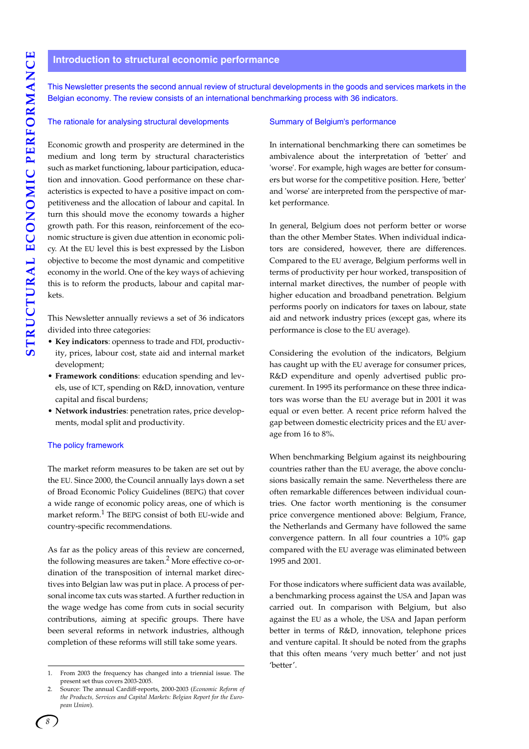#### **Introduction to structural economic performance**

This Newsletter presents the second annual review of structural developments in the goods and services markets in the Belgian economy. The review consists of an international benchmarking process with 36 indicators.

#### The rationale for analysing structural developments

Economic growth and prosperity are determined in the medium and long term by structural characteristics such as market functioning, labour participation, education and innovation. Good performance on these characteristics is expected to have a positive impact on competitiveness and the allocation of labour and capital. In turn this should move the economy towards a higher growth path. For this reason, reinforcement of the economic structure is given due attention in economic policy. At the EU level this is best expressed by the Lisbon objective to become the most dynamic and competitive economy in the world. One of the key ways of achieving this is to reform the products, labour and capital markets.

This Newsletter annually reviews a set of 36 indicators divided into three categories:

- **Key indicators**: openness to trade and FDI, productivity, prices, labour cost, state aid and internal market development;
- **Framework conditions**: education spending and levels, use of ICT, spending on R&D, innovation, venture capital and fiscal burdens;
- **Network industries**: penetration rates, price developments, modal split and productivity.

#### The policy framework

The market reform measures to be taken are set out by the EU. Since 2000, the Council annually lays down a set of Broad Economic Policy Guidelines (BEPG) that cover a wide range of economic policy areas, one of which is market reform.1 The BEPG consist of both EU-wide and country-specific recommendations.

As far as the policy areas of this review are concerned, the following measures are taken.<sup>2</sup> More effective co-ordination of the transposition of internal market directives into Belgian law was put in place. A process of personal income tax cuts was started. A further reduction in the wage wedge has come from cuts in social security contributions, aiming at specific groups. There have been several reforms in network industries, although completion of these reforms will still take some years.

#### Summary of Belgium's performance

In international benchmarking there can sometimes be ambivalence about the interpretation of 'better' and 'worse'. For example, high wages are better for consumers but worse for the competitive position. Here, 'better' and 'worse' are interpreted from the perspective of market performance.

In general, Belgium does not perform better or worse than the other Member States. When individual indicators are considered, however, there are differences. Compared to the EU average, Belgium performs well in terms of productivity per hour worked, transposition of internal market directives, the number of people with higher education and broadband penetration. Belgium performs poorly on indicators for taxes on labour, state aid and network industry prices (except gas, where its performance is close to the EU average).

Considering the evolution of the indicators, Belgium has caught up with the EU average for consumer prices, R&D expenditure and openly advertised public procurement. In 1995 its performance on these three indicators was worse than the EU average but in 2001 it was equal or even better. A recent price reform halved the gap between domestic electricity prices and the EU average from 16 to 8%.

When benchmarking Belgium against its neighbouring countries rather than the EU average, the above conclusions basically remain the same. Nevertheless there are often remarkable differences between individual countries. One factor worth mentioning is the consumer price convergence mentioned above: Belgium, France, the Netherlands and Germany have followed the same convergence pattern. In all four countries a 10% gap compared with the EU average was eliminated between 1995 and 2001.

For those indicators where sufficient data was available, a benchmarking process against the USA and Japan was carried out. In comparison with Belgium, but also against the EU as a whole, the USA and Japan perform better in terms of R&D, innovation, telephone prices and venture capital. It should be noted from the graphs that this often means 'very much better' and not just 'better'.

<sup>1.</sup> From 2003 the frequency has changed into a triennial issue. The present set thus covers 2003-2005.

<sup>2.</sup> Source: The annual Cardiff-reports, 2000-2003 (*Economic Reform of the Products, Services and Capital Markets: Belgian Report for the European Union*).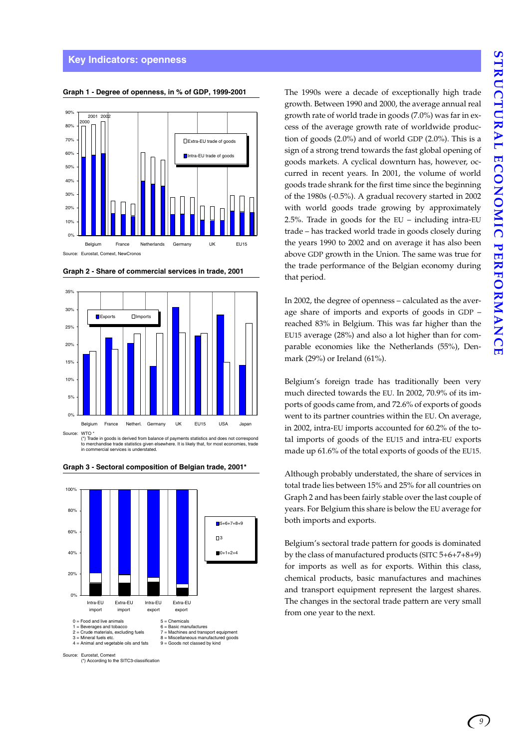

#### **Graph 1 - Degree of openness, in % of GDP, 1999-2001**



**Graph 2 - Share of commercial services in trade, 2001** 

(\*) Trade in goods is derived from balance of payments statistics and does not correspond to merchandise trade statistics given elsewhere. It is likely that, for most economies, trade in commercial services is understated.



#### **Graph 3 - Sectoral composition of Belgian trade, 2001\***

The 1990s were a decade of exceptionally high trade growth. Between 1990 and 2000, the average annual real growth rate of world trade in goods (7.0%) was far in excess of the average growth rate of worldwide production of goods (2.0%) and of world GDP (2.0%). This is a sign of a strong trend towards the fast global opening of goods markets. A cyclical downturn has, however, occurred in recent years. In 2001, the volume of world goods trade shrank for the first time since the beginning of the 1980s (-0.5%). A gradual recovery started in 2002 with world goods trade growing by approximately 2.5%. Trade in goods for the EU – including intra-EU trade – has tracked world trade in goods closely during the years 1990 to 2002 and on average it has also been above GDP growth in the Union. The same was true for the trade performance of the Belgian economy during that period.

In 2002, the degree of openness – calculated as the average share of imports and exports of goods in GDP – reached 83% in Belgium. This was far higher than the EU15 average (28%) and also a lot higher than for comparable economies like the Netherlands (55%), Denmark (29%) or Ireland (61%).

Belgium's foreign trade has traditionally been very much directed towards the EU. In 2002, 70.9% of its imports of goods came from, and 72.6% of exports of goods went to its partner countries within the EU. On average, in 2002, intra-EU imports accounted for 60.2% of the total imports of goods of the EU15 and intra-EU exports made up 61.6% of the total exports of goods of the EU15.

Although probably understated, the share of services in total trade lies between 15% and 25% for all countries on Graph 2 and has been fairly stable over the last couple of years. For Belgium this share is below the EU average for both imports and exports.

Belgium's sectoral trade pattern for goods is dominated by the class of manufactured products (SITC 5+6+7+8+9) for imports as well as for exports. Within this class, chemical products, basic manufactures and machines and transport equipment represent the largest shares. The changes in the sectoral trade pattern are very small from one year to the next.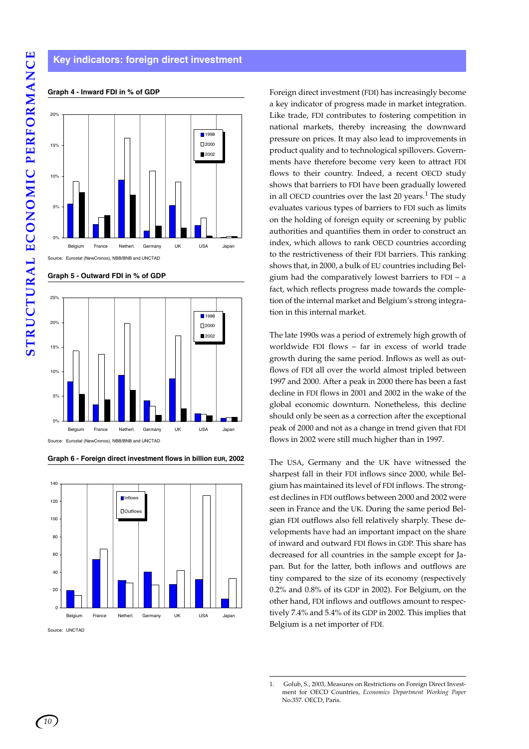

#### **Graph 4 - Inward FDI in % of GDP**

**Graph 5 - Outward FDI in % of GDP**



**Graph 6 - Foreign direct investment flows in billion EUR, 2002**

0 20 40 60 8<sub>C</sub> 100 120 140 Belgium France Netherl. Germany UK USA Japan **Inflows**  $\Box$ Outflo

Source: UNCTAD

Foreign direct investment (FDI) has increasingly become a key indicator of progress made in market integration. Like trade, FDI contributes to fostering competition in national markets, thereby increasing the downward pressure on prices. It may also lead to improvements in product quality and to technological spillovers. Governments have therefore become very keen to attract FDI flows to their country. Indeed, a recent OECD study shows that barriers to FDI have been gradually lowered in all OECD countries over the last 20 years.<sup>1</sup> The study evaluates various types of barriers to FDI such as limits on the holding of foreign equity or screening by public authorities and quantifies them in order to construct an index, which allows to rank OECD countries according to the restrictiveness of their FDI barriers. This ranking shows that, in 2000, a bulk of EU countries including Belgium had the comparatively lowest barriers to FDI – a fact, which reflects progress made towards the completion of the internal market and Belgium's strong integration in this internal market.

The late 1990s was a period of extremely high growth of worldwide FDI flows – far in excess of world trade growth during the same period. Inflows as well as outflows of FDI all over the world almost tripled between 1997 and 2000. After a peak in 2000 there has been a fast decline in FDI flows in 2001 and 2002 in the wake of the global economic downturn. Nonetheless, this decline should only be seen as a correction after the exceptional peak of 2000 and not as a change in trend given that FDI flows in 2002 were still much higher than in 1997.

The USA, Germany and the UK have witnessed the sharpest fall in their FDI inflows since 2000, while Belgium has maintained its level of FDI inflows. The strongest declines in FDI outflows between 2000 and 2002 were seen in France and the UK. During the same period Belgian FDI outflows also fell relatively sharply. These developments have had an important impact on the share of inward and outward FDI flows in GDP. This share has decreased for all countries in the sample except for Japan. But for the latter, both inflows and outflows are tiny compared to the size of its economy (respectively 0.2% and 0.8% of its GDP in 2002). For Belgium, on the other hand, FDI inflows and outflows amount to respectively 7.4% and 5.4% of its GDP in 2002. This implies that Belgium is a net importer of FDI.

<sup>1.</sup> Golub, S., 2003, Measures on Restrictions on Foreign Direct Investment for OECD Countries, *Economics Department Working Paper* No.357. OECD, Paris.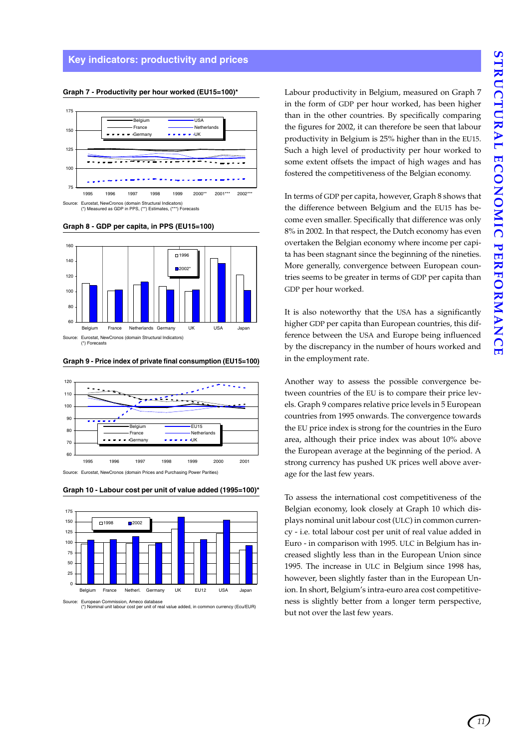#### **Key indicators: productivity and prices**



#### **Graph 7 - Productivity per hour worked (EU15=100)\***

**Graph 8 - GDP per capita, in PPS (EU15=100)**



**Graph 9 - Price index of private final consumption (EU15=100)**



Source: Eurostat, NewCronos (domain Prices and Purchasing Power Parities)

**Graph 10 - Labour cost per unit of value added (1995=100)\***



Source: European Commission, Ameco database (\*) Nominal unit labour cost per unit of real value added, in common currency (Ecu/EUR)

Labour productivity in Belgium, measured on Graph 7 in the form of GDP per hour worked, has been higher than in the other countries. By specifically comparing the figures for 2002, it can therefore be seen that labour productivity in Belgium is 25% higher than in the EU15. Such a high level of productivity per hour worked to some extent offsets the impact of high wages and has fostered the competitiveness of the Belgian economy.

In terms of GDP per capita, however, Graph 8 shows that the difference between Belgium and the EU15 has become even smaller. Specifically that difference was only 8% in 2002. In that respect, the Dutch economy has even overtaken the Belgian economy where income per capita has been stagnant since the beginning of the nineties. More generally, convergence between European countries seems to be greater in terms of GDP per capita than GDP per hour worked.

It is also noteworthy that the USA has a significantly higher GDP per capita than European countries, this difference between the USA and Europe being influenced by the discrepancy in the number of hours worked and in the employment rate.

Another way to assess the possible convergence between countries of the EU is to compare their price levels. Graph 9 compares relative price levels in 5 European countries from 1995 onwards. The convergence towards the EU price index is strong for the countries in the Euro area, although their price index was about 10% above the European average at the beginning of the period. A strong currency has pushed UK prices well above average for the last few years.

To assess the international cost competitiveness of the Belgian economy, look closely at Graph 10 which displays nominal unit labour cost (ULC) in common currency - i.e. total labour cost per unit of real value added in Euro - in comparison with 1995. ULC in Belgium has increased slightly less than in the European Union since 1995. The increase in ULC in Belgium since 1998 has, however, been slightly faster than in the European Union. In short, Belgium's intra-euro area cost competitiveness is slightly better from a longer term perspective, but not over the last few years.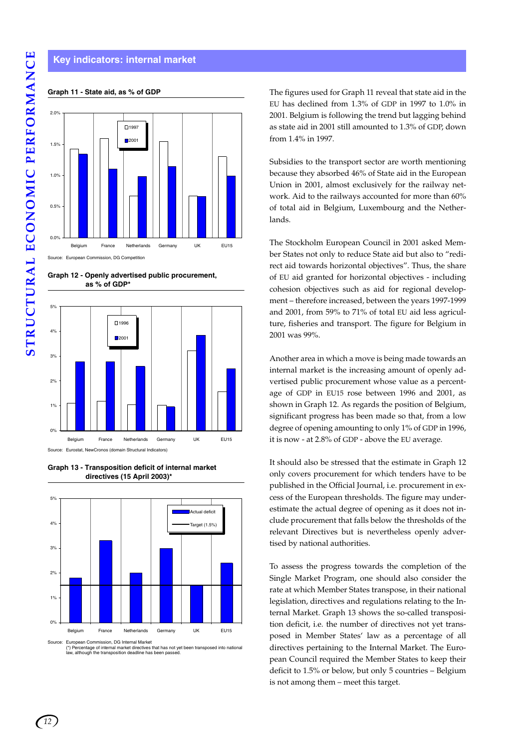#### **Key indicators: internal market**

#### **Graph 11 - State aid, as % of GDP**



Source: European Commission, DG Competition

**Graph 12 - Openly advertised public procurement, as % of GDP\***



**Graph 13 - Transposition deficit of internal market directives (15 April 2003)\***



The figures used for Graph 11 reveal that state aid in the EU has declined from 1.3% of GDP in 1997 to 1.0% in 2001. Belgium is following the trend but lagging behind as state aid in 2001 still amounted to 1.3% of GDP, down from 1.4% in 1997.

Subsidies to the transport sector are worth mentioning because they absorbed 46% of State aid in the European Union in 2001, almost exclusively for the railway network. Aid to the railways accounted for more than 60% of total aid in Belgium, Luxembourg and the Netherlands.

The Stockholm European Council in 2001 asked Member States not only to reduce State aid but also to "redirect aid towards horizontal objectives". Thus, the share of EU aid granted for horizontal objectives - including cohesion objectives such as aid for regional development – therefore increased, between the years 1997-1999 and 2001, from 59% to 71% of total EU aid less agriculture, fisheries and transport. The figure for Belgium in 2001 was 99%.

Another area in which a move is being made towards an internal market is the increasing amount of openly advertised public procurement whose value as a percentage of GDP in EU15 rose between 1996 and 2001, as shown in Graph 12. As regards the position of Belgium, significant progress has been made so that, from a low degree of opening amounting to only 1% of GDP in 1996, it is now - at 2.8% of GDP - above the EU average.

It should also be stressed that the estimate in Graph 12 only covers procurement for which tenders have to be published in the Official Journal, i.e. procurement in excess of the European thresholds. The figure may underestimate the actual degree of opening as it does not include procurement that falls below the thresholds of the relevant Directives but is nevertheless openly advertised by national authorities.

To assess the progress towards the completion of the Single Market Program, one should also consider the rate at which Member States transpose, in their national legislation, directives and regulations relating to the Internal Market. Graph 13 shows the so-called transposition deficit, i.e. the number of directives not yet transposed in Member States' law as a percentage of all directives pertaining to the Internal Market. The European Council required the Member States to keep their deficit to 1.5% or below, but only 5 countries – Belgium is not among them – meet this target.

Source: European Commission, DG Internal Market (\*) Percentage of internal market directives that has not yet been transposed into national w although the transposition deadline has been passed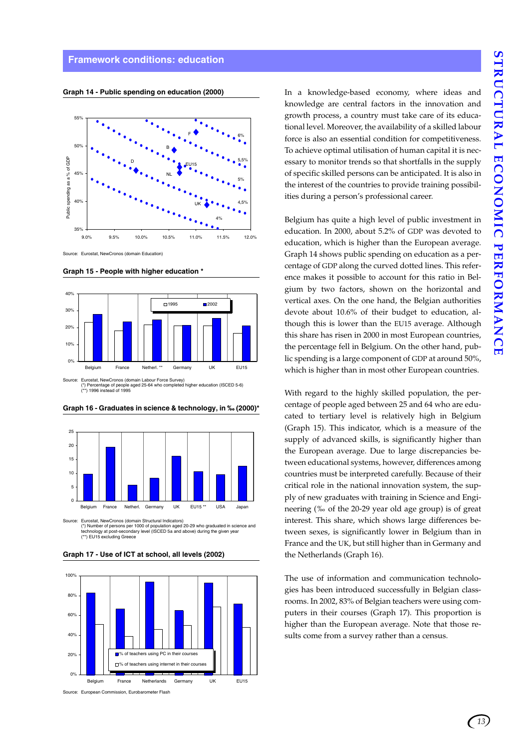#### **Framework conditions: education**



**Graph 14 - Public spending on education (2000)**

Source: Eurostat, NewCronos (domain Education)









Source: Eurostat, NewCronos (domain Structural Indicators) (\*) Number of persons per 1000 of population aged 20-29 who graduated in science and<br>technology at post-secondary level (ISCED 5a and above) during the given year<br>(\*\*) EU15 excluding Greece

**Graph 17 - Use of ICT at school, all levels (2002)**



Source: European Commission, Eurobarometer Flash

In a knowledge-based economy, where ideas and knowledge are central factors in the innovation and growth process, a country must take care of its educational level. Moreover, the availability of a skilled labour force is also an essential condition for competitiveness. To achieve optimal utilisation of human capital it is necessary to monitor trends so that shortfalls in the supply of specific skilled persons can be anticipated. It is also in the interest of the countries to provide training possibilities during a person's professional career.

Belgium has quite a high level of public investment in education. In 2000, about 5.2% of GDP was devoted to education, which is higher than the European average. Graph 14 shows public spending on education as a percentage of GDP along the curved dotted lines. This reference makes it possible to account for this ratio in Belgium by two factors, shown on the horizontal and vertical axes. On the one hand, the Belgian authorities devote about 10.6% of their budget to education, although this is lower than the EU15 average. Although this share has risen in 2000 in most European countries, the percentage fell in Belgium. On the other hand, public spending is a large component of GDP at around 50%, which is higher than in most other European countries.

With regard to the highly skilled population, the percentage of people aged between 25 and 64 who are educated to tertiary level is relatively high in Belgium (Graph 15). This indicator, which is a measure of the supply of advanced skills, is significantly higher than the European average. Due to large discrepancies between educational systems, however, differences among countries must be interpreted carefully. Because of their critical role in the national innovation system, the supply of new graduates with training in Science and Engineering (‰ of the 20-29 year old age group) is of great interest. This share, which shows large differences between sexes, is significantly lower in Belgium than in France and the UK, but still higher than in Germany and the Netherlands (Graph 16).

The use of information and communication technologies has been introduced successfully in Belgian classrooms. In 2002, 83% of Belgian teachers were using computers in their courses (Graph 17). This proportion is higher than the European average. Note that those results come from a survey rather than a census.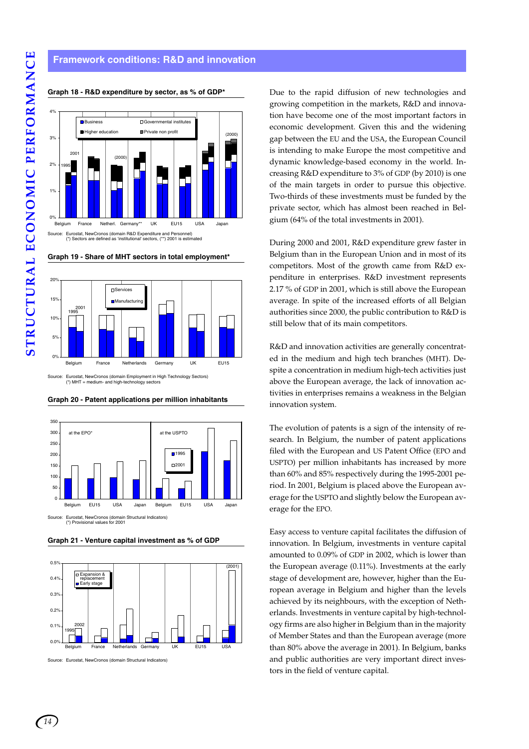#### **Framework conditions: R&D and innovation**



#### **Graph 18 - R&D expenditure by sector, as % of GDP\***





Source: Eurostat, NewCronos (domain Employment in High Technology Sectors) (\*) MHT = medium- and high-technology sectors





**Graph 21 - Venture capital investment as % of GDP**



Source: Eurostat, NewCronos (domain Structural Indicators)

Due to the rapid diffusion of new technologies and growing competition in the markets, R&D and innovation have become one of the most important factors in economic development. Given this and the widening gap between the EU and the USA, the European Council is intending to make Europe the most competitive and dynamic knowledge-based economy in the world. Increasing R&D expenditure to 3% of GDP (by 2010) is one of the main targets in order to pursue this objective. Two-thirds of these investments must be funded by the private sector, which has almost been reached in Belgium (64% of the total investments in 2001).

During 2000 and 2001, R&D expenditure grew faster in Belgium than in the European Union and in most of its competitors. Most of the growth came from R&D expenditure in enterprises. R&D investment represents 2.17 % of GDP in 2001, which is still above the European average. In spite of the increased efforts of all Belgian authorities since 2000, the public contribution to R&D is still below that of its main competitors.

R&D and innovation activities are generally concentrated in the medium and high tech branches (MHT). Despite a concentration in medium high-tech activities just above the European average, the lack of innovation activities in enterprises remains a weakness in the Belgian innovation system.

The evolution of patents is a sign of the intensity of research. In Belgium, the number of patent applications filed with the European and US Patent Office (EPO and USPTO) per million inhabitants has increased by more than 60% and 85% respectively during the 1995-2001 period. In 2001, Belgium is placed above the European average for the USPTO and slightly below the European average for the EPO.

Easy access to venture capital facilitates the diffusion of innovation. In Belgium, investments in venture capital amounted to 0.09% of GDP in 2002, which is lower than the European average (0.11%). Investments at the early stage of development are, however, higher than the European average in Belgium and higher than the levels achieved by its neighbours, with the exception of Netherlands. Investments in venture capital by high-technology firms are also higher in Belgium than in the majority of Member States and than the European average (more than 80% above the average in 2001). In Belgium, banks and public authorities are very important direct investors in the field of venture capital.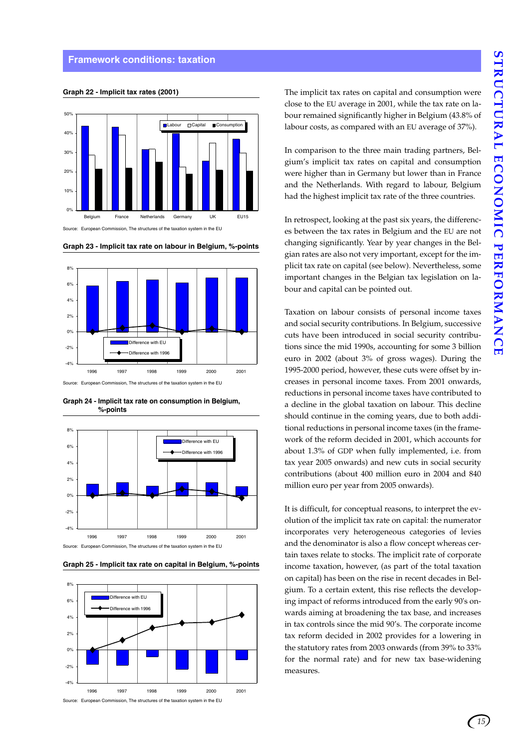#### **Framework conditions: taxation**





Source: European Commission, The structures of the taxation system in the EU





Source: European Commission, The structures of the taxation system in the EU





**Graph 24 - Implicit tax rate on consumption in Belgium,** 



**Graph 25 - Implicit tax rate on capital in Belgium, %-points**

The implicit tax rates on capital and consumption were close to the EU average in 2001, while the tax rate on labour remained significantly higher in Belgium (43.8% of labour costs, as compared with an EU average of 37%).

In comparison to the three main trading partners, Belgium's implicit tax rates on capital and consumption were higher than in Germany but lower than in France and the Netherlands. With regard to labour, Belgium had the highest implicit tax rate of the three countries.

In retrospect, looking at the past six years, the differences between the tax rates in Belgium and the EU are not changing significantly. Year by year changes in the Belgian rates are also not very important, except for the implicit tax rate on capital (see below). Nevertheless, some important changes in the Belgian tax legislation on labour and capital can be pointed out.

Taxation on labour consists of personal income taxes and social security contributions. In Belgium, successive cuts have been introduced in social security contributions since the mid 1990s, accounting for some 3 billion euro in 2002 (about 3% of gross wages). During the 1995-2000 period, however, these cuts were offset by increases in personal income taxes. From 2001 onwards, reductions in personal income taxes have contributed to a decline in the global taxation on labour. This decline should continue in the coming years, due to both additional reductions in personal income taxes (in the framework of the reform decided in 2001, which accounts for about 1.3% of GDP when fully implemented, i.e. from tax year 2005 onwards) and new cuts in social security contributions (about 400 million euro in 2004 and 840 million euro per year from 2005 onwards).

It is difficult, for conceptual reasons, to interpret the evolution of the implicit tax rate on capital: the numerator incorporates very heterogeneous categories of levies and the denominator is also a flow concept whereas certain taxes relate to stocks. The implicit rate of corporate income taxation, however, (as part of the total taxation on capital) has been on the rise in recent decades in Belgium. To a certain extent, this rise reflects the developing impact of reforms introduced from the early 90's onwards aiming at broadening the tax base, and increases in tax controls since the mid 90's. The corporate income tax reform decided in 2002 provides for a lowering in the statutory rates from 2003 onwards (from 39% to 33% for the normal rate) and for new tax base-widening measures.

*15*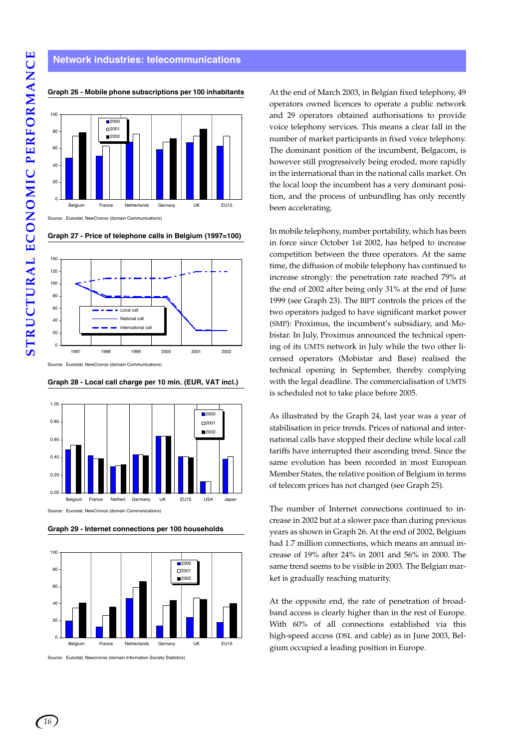## **Network industries: telecommunications**



**Graph 26 - Mobile phone subscriptions per 100 inhabitants**

**Graph 27 - Price of telephone calls in Belgium (1997=100)**



Source: Eurostat, NewCronos (domain Communications)





**Graph 29 - Internet connections per 100 households**



Source: Eurostat, Newcronos (domain Information Society Statistics)

At the end of March 2003, in Belgian fixed telephony, 49 operators owned licences to operate a public network and 29 operators obtained authorisations to provide voice telephony services. This means a clear fall in the number of market participants in fixed voice telephony. The dominant position of the incumbent, Belgacom, is however still progressively being eroded, more rapidly in the international than in the national calls market. On the local loop the incumbent has a very dominant position, and the process of unbundling has only recently been accelerating.

In mobile telephony, number portability, which has been in force since October 1st 2002, has helped to increase competition between the three operators. At the same time, the diffusion of mobile telephony has continued to increase strongly: the penetration rate reached 79% at the end of 2002 after being only 31% at the end of June 1999 (see Graph 23). The BIPT controls the prices of the two operators judged to have significant market power (SMP): Proximus, the incumbent's subsidiary, and Mobistar. In July, Proximus announced the technical opening of its UMTS network in July while the two other licensed operators (Mobistar and Base) realised the technical opening in September, thereby complying with the legal deadline. The commercialisation of UMTS is scheduled not to take place before 2005.

As illustrated by the Graph 24, last year was a year of stabilisation in price trends. Prices of national and international calls have stopped their decline while local call tariffs have interrupted their ascending trend. Since the same evolution has been recorded in most European Member States, the relative position of Belgium in terms of telecom prices has not changed (see Graph 25).

The number of Internet connections continued to increase in 2002 but at a slower pace than during previous years as shown in Graph 26. At the end of 2002, Belgium had 1.7 million connections, which means an annual increase of 19% after 24% in 2001 and 56% in 2000. The same trend seems to be visible in 2003. The Belgian market is gradually reaching maturity.

At the opposite end, the rate of penetration of broadband access is clearly higher than in the rest of Europe. With 60% of all connections established via this high-speed access (DSL and cable) as in June 2003, Belgium occupied a leading position in Europe.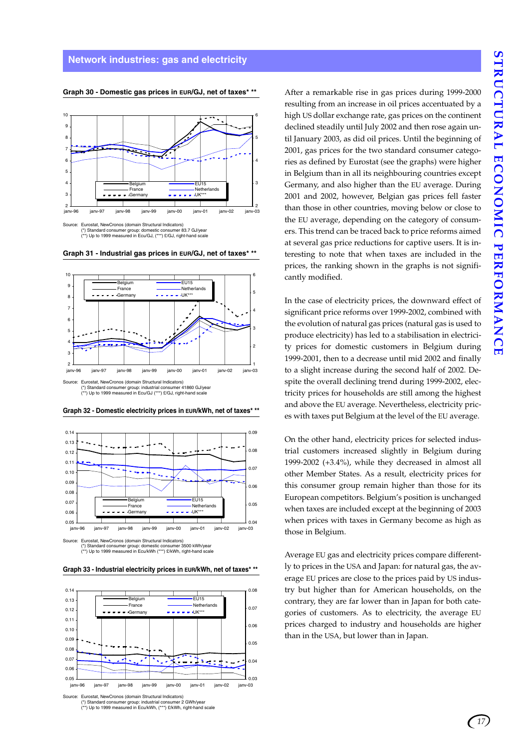

**Graph 30 - Domestic gas prices in EUR/GJ, net of taxes\* \*\***

rostat, NewCronos (domain Structural Indicators) (\*) Standard consumer group: domestic consumer 83.7 GJ/year (\*\*) Up to 1999 measured in Ecu/GJ, (\*\*\*) £/GJ, right-hand scale





(\*) Standard consumer group: industrial consumer 41860 GJ/year (\*\*) Up to 1999 measured in Ecu/GJ (\*\*\*) £/GJ, right-hand scale





Source: Eurostat, NewCronos (domain Structural Indicators) (\*) Standard consumer group: domestic consumer 3500 kWh/year (\*\*) Up to 1999 measured in Ecu/kWh (\*\*\*) £/kWh, right-hand scale





ostat, NewCronos (domain Structural Indicators) (\*) Standard consumer group: industrial consumer 2 GWh/year (\*\*) Up to 1999 measured in Ecu/kWh, (\*\*\*) £/kWh, right-hand scale After a remarkable rise in gas prices during 1999-2000 resulting from an increase in oil prices accentuated by a high US dollar exchange rate, gas prices on the continent declined steadily until July 2002 and then rose again until January 2003, as did oil prices. Until the beginning of 2001, gas prices for the two standard consumer categories as defined by Eurostat (see the graphs) were higher in Belgium than in all its neighbouring countries except Germany, and also higher than the EU average. During 2001 and 2002, however, Belgian gas prices fell faster than those in other countries, moving below or close to the EU average, depending on the category of consumers. This trend can be traced back to price reforms aimed at several gas price reductions for captive users. It is interesting to note that when taxes are included in the prices, the ranking shown in the graphs is not significantly modified.

In the case of electricity prices, the downward effect of significant price reforms over 1999-2002, combined with the evolution of natural gas prices (natural gas is used to produce electricity) has led to a stabilisation in electricity prices for domestic customers in Belgium during 1999-2001, then to a decrease until mid 2002 and finally to a slight increase during the second half of 2002. Despite the overall declining trend during 1999-2002, electricity prices for households are still among the highest and above the EU average. Nevertheless, electricity prices with taxes put Belgium at the level of the EU average.

On the other hand, electricity prices for selected industrial customers increased slightly in Belgium during 1999-2002 (+3.4%), while they decreased in almost all other Member States. As a result, electricity prices for this consumer group remain higher than those for its European competitors. Belgium's position is unchanged when taxes are included except at the beginning of 2003 when prices with taxes in Germany become as high as those in Belgium.

Average EU gas and electricity prices compare differently to prices in the USA and Japan: for natural gas, the average EU prices are close to the prices paid by US industry but higher than for American households, on the contrary, they are far lower than in Japan for both categories of customers. As to electricity, the average EU prices charged to industry and households are higher than in the USA, but lower than in Japan.

*17*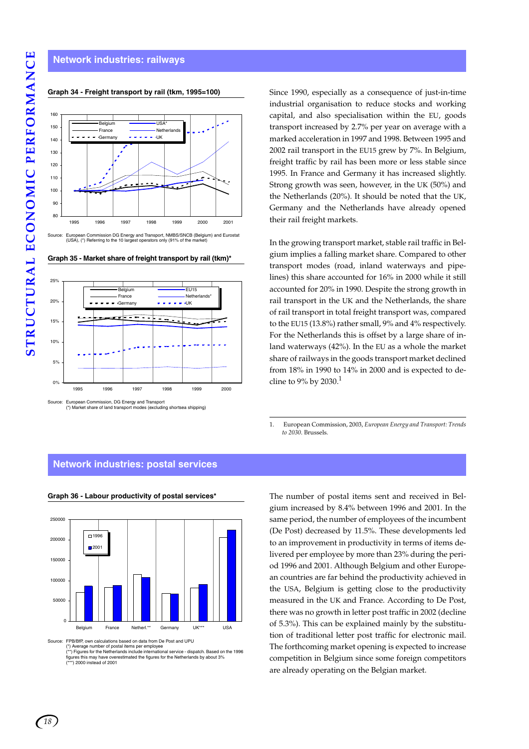## **Network industries: railways**



#### **Graph 34 - Freight transport by rail (tkm, 1995=100)**

Source: European Commission DG Energy and Transport, NMBS/SNCB (Belgium) and Eurostat (USA), (\*) Referring to the 10 largest operators only (91% of the market)

**Graph 35 - Market share of freight transport by rail (tkm)\***



Source: European Commission, DG Energy and Transport (\*) Market share of land transport modes (excluding shortsea shipping)

Since 1990, especially as a consequence of just-in-time industrial organisation to reduce stocks and working capital, and also specialisation within the EU, goods transport increased by 2.7% per year on average with a marked acceleration in 1997 and 1998. Between 1995 and 2002 rail transport in the EU15 grew by 7%. In Belgium, freight traffic by rail has been more or less stable since 1995. In France and Germany it has increased slightly. Strong growth was seen, however, in the UK (50%) and the Netherlands (20%). It should be noted that the UK, Germany and the Netherlands have already opened their rail freight markets.

In the growing transport market, stable rail traffic in Belgium implies a falling market share. Compared to other transport modes (road, inland waterways and pipelines) this share accounted for 16% in 2000 while it still accounted for 20% in 1990. Despite the strong growth in rail transport in the UK and the Netherlands, the share of rail transport in total freight transport was, compared to the EU15 (13.8%) rather small, 9% and 4% respectively. For the Netherlands this is offset by a large share of inland waterways (42%). In the EU as a whole the market share of railways in the goods transport market declined from 18% in 1990 to 14% in 2000 and is expected to decline to 9% by 2030.<sup>1</sup>

1. European Commission, 2003, *European Energy and Transport: Trends to 2030*. Brussels.

#### **Network industries: postal services**



**Graph 36 - Labour productivity of postal services\***

Source: FPB/BfP, own calculations based on data from De Post and UPU<br>(\*) Average number of postal items per employee<br>(\*\*) Figures for the Netherlands include international service - dispatch. Based on the 1996 figures this may have overestimated the figures for the Netherlands by about 3%<br>(\*\*\*) 2000 instead of 2001 and 2001 and 2001 and 2001 and 2001 and 2001 and 2001 and 2001 and 2001 and 2001 and 2001 and 2001 and 2001 and 200 (\*\*\*) 2000 instead of 2001

The number of postal items sent and received in Belgium increased by 8.4% between 1996 and 2001. In the same period, the number of employees of the incumbent (De Post) decreased by 11.5%. These developments led to an improvement in productivity in terms of items delivered per employee by more than 23% during the period 1996 and 2001. Although Belgium and other European countries are far behind the productivity achieved in the USA, Belgium is getting close to the productivity measured in the UK and France. According to De Post, there was no growth in letter post traffic in 2002 (decline of 5.3%). This can be explained mainly by the substitution of traditional letter post traffic for electronic mail. The forthcoming market opening is expected to increase competition in Belgium since some foreign competitors are already operating on the Belgian market.

*18*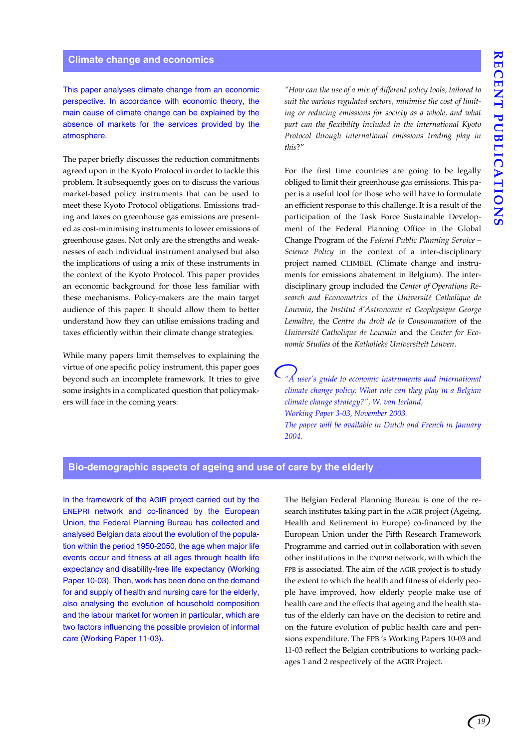This paper analyses climate change from an economic perspective. In accordance with economic theory, the main cause of climate change can be explained by the absence of markets for the services provided by the atmosphere.

The paper briefly discusses the reduction commitments agreed upon in the Kyoto Protocol in order to tackle this problem. It subsequently goes on to discuss the various market-based policy instruments that can be used to meet these Kyoto Protocol obligations. Emissions trading and taxes on greenhouse gas emissions are presented as cost-minimising instruments to lower emissions of greenhouse gases. Not only are the strengths and weaknesses of each individual instrument analysed but also the implications of using a mix of these instruments in the context of the Kyoto Protocol. This paper provides an economic background for those less familiar with these mechanisms. Policy-makers are the main target audience of this paper. It should allow them to better understand how they can utilise emissions trading and taxes efficiently within their climate change strategies.

While many papers limit themselves to explaining the virtue of one specific policy instrument, this paper goes beyond such an incomplete framework. It tries to give some insights in a complicated question that policymakers will face in the coming years:

*"How can the use of a mix of different policy tools, tailored to suit the various regulated sectors, minimise the cost of limiting or reducing emissions for society as a whole, and what part can the flexibility included in the international Kyoto Protocol through international emissions trading play in this*?"

For the first time countries are going to be legally obliged to limit their greenhouse gas emissions. This paper is a useful tool for those who will have to formulate an efficient response to this challenge. It is a result of the participation of the Task Force Sustainable Development of the Federal Planning Office in the Global Change Program of the *Federal Public Planning Service – Science Policy* in the context of a inter-disciplinary project named CLIMBEL (Climate change and instruments for emissions abatement in Belgium). The interdisciplinary group included the *Center of Operations Research and Econometrics* of the *Université Catholique de Louvain*, the *Institut d'Astronomie et Geophysique George Lemaître*, the *Centre du droit de la Consommation* of the *Université Catholique de Louvain* and the *Center for Economic Studies* of the *Katholieke Universiteit Leuven*.

*"A user's guide to economic instruments and international climate change policy: What role can they play in a Belgian climate change strategy?", W. van Ierland, Working Paper 3-03, November 2003. The paper will be available in Dutch and French in January 2004.*

## **Bio-demographic aspects of ageing and use of care by the elderly**

In the framework of the AGIR project carried out by the ENEPRI network and co-financed by the European Union, the Federal Planning Bureau has collected and analysed Belgian data about the evolution of the population within the period 1950-2050, the age when major life events occur and fitness at all ages through health life expectancy and disability-free life expectancy (Working Paper 10-03). Then, work has been done on the demand for and supply of health and nursing care for the elderly, also analysing the evolution of household composition and the labour market for women in particular, which are two factors influencing the possible provision of informal care (Working Paper 11-03).

The Belgian Federal Planning Bureau is one of the research institutes taking part in the AGIR project (Ageing, Health and Retirement in Europe) co-financed by the European Union under the Fifth Research Framework Programme and carried out in collaboration with seven other institutions in the ENEPRI network, with which the FPB is associated. The aim of the AGIR project is to study the extent to which the health and fitness of elderly people have improved, how elderly people make use of health care and the effects that ageing and the health status of the elderly can have on the decision to retire and on the future evolution of public health care and pensions expenditure. The FPB 's Working Papers 10-03 and 11-03 reflect the Belgian contributions to working packages 1 and 2 respectively of the AGIR Project.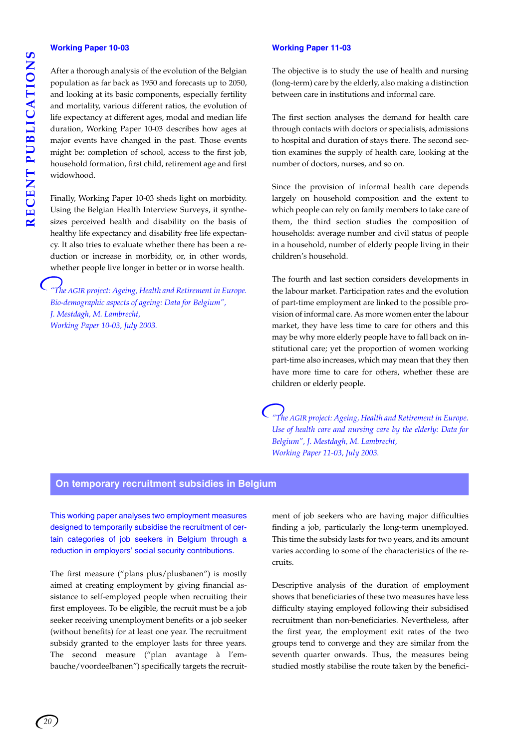#### **Working Paper 10-03**

After a thorough analysis of the evolution of the Belgian population as far back as 1950 and forecasts up to 2050, and looking at its basic components, especially fertility and mortality, various different ratios, the evolution of life expectancy at different ages, modal and median life duration, Working Paper 10-03 describes how ages at major events have changed in the past. Those events might be: completion of school, access to the first job, household formation, first child, retirement age and first widowhood.

Finally, Working Paper 10-03 sheds light on morbidity. Using the Belgian Health Interview Surveys, it synthesizes perceived health and disability on the basis of healthy life expectancy and disability free life expectancy. It also tries to evaluate whether there has been a reduction or increase in morbidity, or, in other words, whether people live longer in better or in worse health.

*"The AGIR project: Ageing, Health and Retirement in Europe. Bio-demographic aspects of ageing: Data for Belgium", J. Mestdagh, M. Lambrecht, Working Paper 10-03, July 2003.*

#### **Working Paper 11-03**

The objective is to study the use of health and nursing (long-term) care by the elderly, also making a distinction between care in institutions and informal care.

The first section analyses the demand for health care through contacts with doctors or specialists, admissions to hospital and duration of stays there. The second section examines the supply of health care, looking at the number of doctors, nurses, and so on.

Since the provision of informal health care depends largely on household composition and the extent to which people can rely on family members to take care of them, the third section studies the composition of households: average number and civil status of people in a household, number of elderly people living in their children's household.

The fourth and last section considers developments in the labour market. Participation rates and the evolution of part-time employment are linked to the possible provision of informal care. As more women enter the labour market, they have less time to care for others and this may be why more elderly people have to fall back on institutional care; yet the proportion of women working part-time also increases, which may mean that they then have more time to care for others, whether these are children or elderly people.

*"The AGIR project: Ageing, Health and Retirement in Europe. Use of health care and nursing care by the elderly: Data for Belgium", J. Mestdagh, M. Lambrecht, Working Paper 11-03, July 2003.*

### **On temporary recruitment subsidies in Belgium**

This working paper analyses two employment measures designed to temporarily subsidise the recruitment of certain categories of job seekers in Belgium through a reduction in employers' social security contributions.

The first measure ("plans plus/plusbanen") is mostly aimed at creating employment by giving financial assistance to self-employed people when recruiting their first employees. To be eligible, the recruit must be a job seeker receiving unemployment benefits or a job seeker (without benefits) for at least one year. The recruitment subsidy granted to the employer lasts for three years. The second measure ("plan avantage à l'embauche/voordeelbanen") specifically targets the recruitment of job seekers who are having major difficulties finding a job, particularly the long-term unemployed. This time the subsidy lasts for two years, and its amount varies according to some of the characteristics of the recruits.

Descriptive analysis of the duration of employment shows that beneficiaries of these two measures have less difficulty staying employed following their subsidised recruitment than non-beneficiaries. Nevertheless, after the first year, the employment exit rates of the two groups tend to converge and they are similar from the seventh quarter onwards. Thus, the measures being studied mostly stabilise the route taken by the benefici-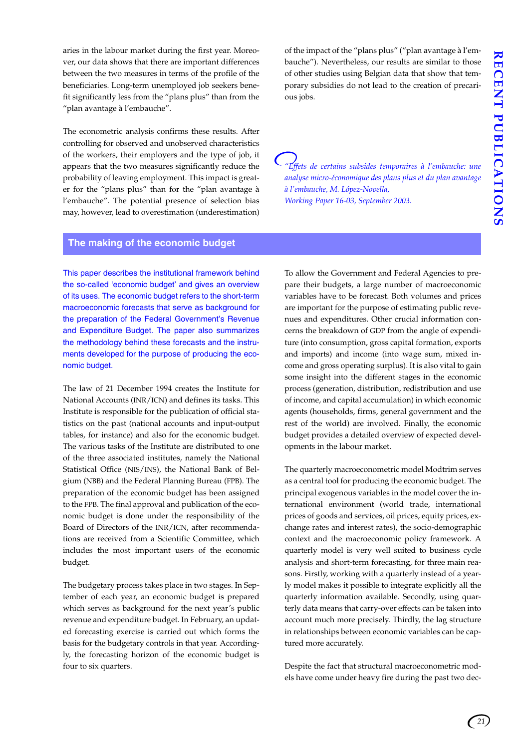aries in the labour market during the first year. Moreover, our data shows that there are important differences between the two measures in terms of the profile of the beneficiaries. Long-term unemployed job seekers benefit significantly less from the "plans plus" than from the "plan avantage à l'embauche".

The econometric analysis confirms these results. After controlling for observed and unobserved characteristics of the workers, their employers and the type of job, it appears that the two measures significantly reduce the probability of leaving employment. This impact is greater for the "plans plus" than for the "plan avantage à l'embauche". The potential presence of selection bias may, however, lead to overestimation (underestimation) of the impact of the "plans plus" ("plan avantage à l'embauche"). Nevertheless, our results are similar to those of other studies using Belgian data that show that temporary subsidies do not lead to the creation of precarious jobs.

*"Effets de certains subsides temporaires à l'embauche: une analyse micro-économique des plans plus et du plan avantage à l'embauche, M. López-Novella, Working Paper 16-03, September 2003.*

#### **The making of the economic budget**

This paper describes the institutional framework behind the so-called 'economic budget' and gives an overview of its uses. The economic budget refers to the short-term macroeconomic forecasts that serve as background for the preparation of the Federal Government's Revenue and Expenditure Budget. The paper also summarizes the methodology behind these forecasts and the instruments developed for the purpose of producing the economic budget.

The law of 21 December 1994 creates the Institute for National Accounts (INR/ICN) and defines its tasks. This Institute is responsible for the publication of official statistics on the past (national accounts and input-output tables, for instance) and also for the economic budget. The various tasks of the Institute are distributed to one of the three associated institutes, namely the National Statistical Office (NIS/INS), the National Bank of Belgium (NBB) and the Federal Planning Bureau (FPB). The preparation of the economic budget has been assigned to the FPB. The final approval and publication of the economic budget is done under the responsibility of the Board of Directors of the INR/ICN, after recommendations are received from a Scientific Committee, which includes the most important users of the economic budget.

The budgetary process takes place in two stages. In September of each year, an economic budget is prepared which serves as background for the next year's public revenue and expenditure budget. In February, an updated forecasting exercise is carried out which forms the basis for the budgetary controls in that year. Accordingly, the forecasting horizon of the economic budget is four to six quarters.

To allow the Government and Federal Agencies to prepare their budgets, a large number of macroeconomic variables have to be forecast. Both volumes and prices are important for the purpose of estimating public revenues and expenditures. Other crucial information concerns the breakdown of GDP from the angle of expenditure (into consumption, gross capital formation, exports and imports) and income (into wage sum, mixed income and gross operating surplus). It is also vital to gain some insight into the different stages in the economic process (generation, distribution, redistribution and use of income, and capital accumulation) in which economic agents (households, firms, general government and the rest of the world) are involved. Finally, the economic budget provides a detailed overview of expected developments in the labour market.

The quarterly macroeconometric model Modtrim serves as a central tool for producing the economic budget. The principal exogenous variables in the model cover the international environment (world trade, international prices of goods and services, oil prices, equity prices, exchange rates and interest rates), the socio-demographic context and the macroeconomic policy framework. A quarterly model is very well suited to business cycle analysis and short-term forecasting, for three main reasons. Firstly, working with a quarterly instead of a yearly model makes it possible to integrate explicitly all the quarterly information available. Secondly, using quarterly data means that carry-over effects can be taken into account much more precisely. Thirdly, the lag structure in relationships between economic variables can be captured more accurately.

Despite the fact that structural macroeconometric models have come under heavy fire during the past two dec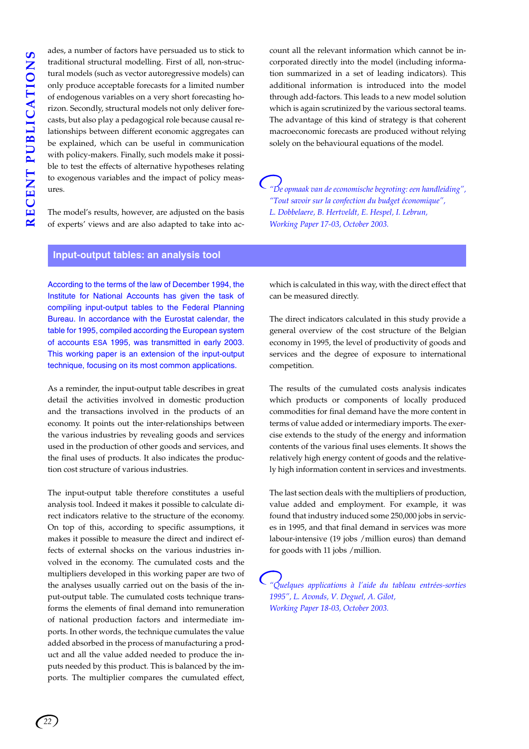ades, a number of factors have persuaded us to stick to traditional structural modelling. First of all, non-structural models (such as vector autoregressive models) can only produce acceptable forecasts for a limited number of endogenous variables on a very short forecasting horizon. Secondly, structural models not only deliver forecasts, but also play a pedagogical role because causal relationships between different economic aggregates can be explained, which can be useful in communication with policy-makers. Finally, such models make it possible to test the effects of alternative hypotheses relating to exogenous variables and the impact of policy measures.

The model's results, however, are adjusted on the basis of experts' views and are also adapted to take into account all the relevant information which cannot be incorporated directly into the model (including information summarized in a set of leading indicators). This additional information is introduced into the model through add-factors. This leads to a new model solution which is again scrutinized by the various sectoral teams. The advantage of this kind of strategy is that coherent macroeconomic forecasts are produced without relying solely on the behavioural equations of the model.

*"De opmaak van de economische begroting: een handleiding", "Tout savoir sur la confection du budget économique", L. Dobbelaere, B. Hertveldt, E. Hespel, I. Lebrun, Working Paper 17-03, October 2003.* 

#### **Input-output tables: an analysis tool**

According to the terms of the law of December 1994, the Institute for National Accounts has given the task of compiling input-output tables to the Federal Planning Bureau. In accordance with the Eurostat calendar, the table for 1995, compiled according the European system of accounts ESA 1995, was transmitted in early 2003. This working paper is an extension of the input-output technique, focusing on its most common applications.

As a reminder, the input-output table describes in great detail the activities involved in domestic production and the transactions involved in the products of an economy. It points out the inter-relationships between the various industries by revealing goods and services used in the production of other goods and services, and the final uses of products. It also indicates the production cost structure of various industries.

The input-output table therefore constitutes a useful analysis tool. Indeed it makes it possible to calculate direct indicators relative to the structure of the economy. On top of this, according to specific assumptions, it makes it possible to measure the direct and indirect effects of external shocks on the various industries involved in the economy. The cumulated costs and the multipliers developed in this working paper are two of the analyses usually carried out on the basis of the input-output table. The cumulated costs technique transforms the elements of final demand into remuneration of national production factors and intermediate imports. In other words, the technique cumulates the value added absorbed in the process of manufacturing a product and all the value added needed to produce the inputs needed by this product. This is balanced by the imports. The multiplier compares the cumulated effect, which is calculated in this way, with the direct effect that can be measured directly.

The direct indicators calculated in this study provide a general overview of the cost structure of the Belgian economy in 1995, the level of productivity of goods and services and the degree of exposure to international competition.

The results of the cumulated costs analysis indicates which products or components of locally produced commodities for final demand have the more content in terms of value added or intermediary imports. The exercise extends to the study of the energy and information contents of the various final uses elements. It shows the relatively high energy content of goods and the relatively high information content in services and investments.

The last section deals with the multipliers of production, value added and employment. For example, it was found that industry induced some 250,000 jobs in services in 1995, and that final demand in services was more labour-intensive (19 jobs /million euros) than demand for goods with 11 jobs /million.

*"Quelques applications à l'aide du tableau entrées-sorties 1995", L. Avonds, V. Deguel, A. Gilot, Working Paper 18-03, October 2003.*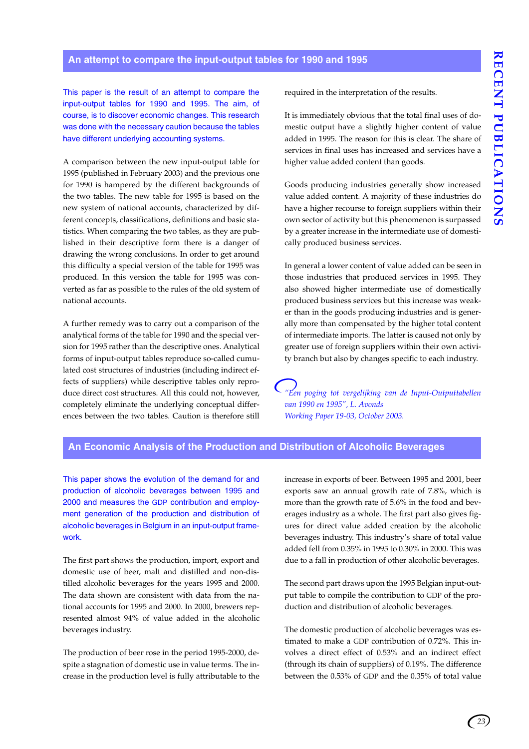## **An attempt to compare the input-output tables for 1990 and 1995**

This paper is the result of an attempt to compare the input-output tables for 1990 and 1995. The aim, of course, is to discover economic changes. This research was done with the necessary caution because the tables have different underlying accounting systems.

A comparison between the new input-output table for 1995 (published in February 2003) and the previous one for 1990 is hampered by the different backgrounds of the two tables. The new table for 1995 is based on the new system of national accounts, characterized by different concepts, classifications, definitions and basic statistics. When comparing the two tables, as they are published in their descriptive form there is a danger of drawing the wrong conclusions. In order to get around this difficulty a special version of the table for 1995 was produced. In this version the table for 1995 was converted as far as possible to the rules of the old system of national accounts.

A further remedy was to carry out a comparison of the analytical forms of the table for 1990 and the special version for 1995 rather than the descriptive ones. Analytical forms of input-output tables reproduce so-called cumulated cost structures of industries (including indirect effects of suppliers) while descriptive tables only reproduce direct cost structures. All this could not, however, completely eliminate the underlying conceptual differences between the two tables. Caution is therefore still required in the interpretation of the results.

It is immediately obvious that the total final uses of domestic output have a slightly higher content of value added in 1995. The reason for this is clear. The share of services in final uses has increased and services have a higher value added content than goods.

Goods producing industries generally show increased value added content. A majority of these industries do have a higher recourse to foreign suppliers within their own sector of activity but this phenomenon is surpassed by a greater increase in the intermediate use of domestically produced business services.

In general a lower content of value added can be seen in those industries that produced services in 1995. They also showed higher intermediate use of domestically produced business services but this increase was weaker than in the goods producing industries and is generally more than compensated by the higher total content of intermediate imports. The latter is caused not only by greater use of foreign suppliers within their own activity branch but also by changes specific to each industry.

*"Een poging tot vergelijking van de Input-Outputtabellen van 1990 en 1995", L. Avonds Working Paper 19-03, October 2003.*

## **An Economic Analysis of the Production and Distribution of Alcoholic Beverages**

This paper shows the evolution of the demand for and production of alcoholic beverages between 1995 and 2000 and measures the GDP contribution and employment generation of the production and distribution of alcoholic beverages in Belgium in an input-output framework.

The first part shows the production, import, export and domestic use of beer, malt and distilled and non-distilled alcoholic beverages for the years 1995 and 2000. The data shown are consistent with data from the national accounts for 1995 and 2000. In 2000, brewers represented almost 94% of value added in the alcoholic beverages industry.

The production of beer rose in the period 1995-2000, despite a stagnation of domestic use in value terms. The increase in the production level is fully attributable to the increase in exports of beer. Between 1995 and 2001, beer exports saw an annual growth rate of 7.8%, which is more than the growth rate of 5.6% in the food and beverages industry as a whole. The first part also gives figures for direct value added creation by the alcoholic beverages industry. This industry's share of total value added fell from 0.35% in 1995 to 0.30% in 2000. This was due to a fall in production of other alcoholic beverages.

The second part draws upon the 1995 Belgian input-output table to compile the contribution to GDP of the production and distribution of alcoholic beverages.

The domestic production of alcoholic beverages was estimated to make a GDP contribution of 0.72%. This involves a direct effect of 0.53% and an indirect effect (through its chain of suppliers) of 0.19%. The difference between the 0.53% of GDP and the 0.35% of total value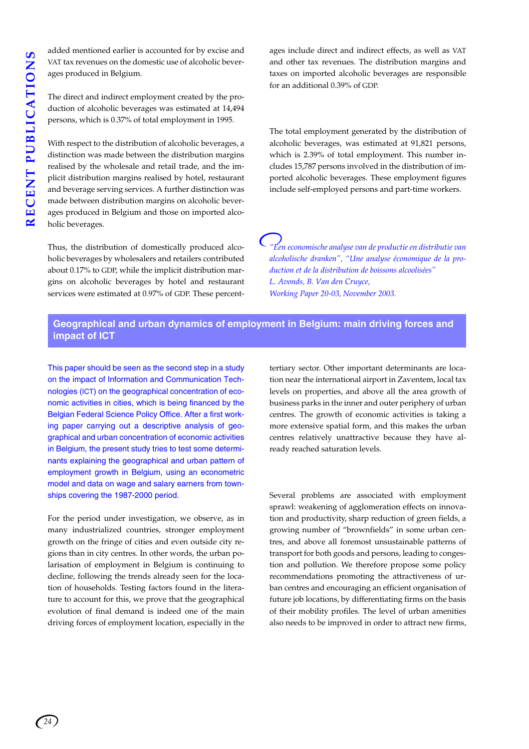added mentioned earlier is accounted for by excise and VAT tax revenues on the domestic use of alcoholic beverages produced in Belgium.

The direct and indirect employment created by the production of alcoholic beverages was estimated at 14,494 persons, which is 0.37% of total employment in 1995.

With respect to the distribution of alcoholic beverages, a distinction was made between the distribution margins realised by the wholesale and retail trade, and the implicit distribution margins realised by hotel, restaurant and beverage serving services. A further distinction was made between distribution margins on alcoholic beverages produced in Belgium and those on imported alcoholic beverages.

Thus, the distribution of domestically produced alcoholic beverages by wholesalers and retailers contributed about 0.17% to GDP, while the implicit distribution margins on alcoholic beverages by hotel and restaurant services were estimated at 0.97% of GDP. These percentages include direct and indirect effects, as well as VAT and other tax revenues. The distribution margins and taxes on imported alcoholic beverages are responsible for an additional 0.39% of GDP.

The total employment generated by the distribution of alcoholic beverages, was estimated at 91,821 persons, which is 2.39% of total employment. This number includes 15,787 persons involved in the distribution of imported alcoholic beverages. These employment figures include self-employed persons and part-time workers.

*"Een economische analyse van de productie en distributie van alcoholische dranken", "Une analyse économique de la production et de la distribution de boissons alcoolisées" L. Avonds, B. Van den Cruyce, Working Paper 20-03, November 2003.*

## **Geographical and urban dynamics of employment in Belgium: main driving forces and impact of ICT**

This paper should be seen as the second step in a study on the impact of Information and Communication Technologies (ICT) on the geographical concentration of economic activities in cities, which is being financed by the Belgian Federal Science Policy Office. After a first working paper carrying out a descriptive analysis of geographical and urban concentration of economic activities in Belgium, the present study tries to test some determinants explaining the geographical and urban pattern of employment growth in Belgium, using an econometric model and data on wage and salary earners from townships covering the 1987-2000 period.

For the period under investigation, we observe, as in many industrialized countries, stronger employment growth on the fringe of cities and even outside city regions than in city centres. In other words, the urban polarisation of employment in Belgium is continuing to decline, following the trends already seen for the location of households. Testing factors found in the literature to account for this, we prove that the geographical evolution of final demand is indeed one of the main driving forces of employment location, especially in the tertiary sector. Other important determinants are location near the international airport in Zaventem, local tax levels on properties, and above all the area growth of business parks in the inner and outer periphery of urban centres. The growth of economic activities is taking a more extensive spatial form, and this makes the urban centres relatively unattractive because they have already reached saturation levels.

Several problems are associated with employment sprawl: weakening of agglomeration effects on innovation and productivity, sharp reduction of green fields, a growing number of "brownfields" in some urban centres, and above all foremost unsustainable patterns of transport for both goods and persons, leading to congestion and pollution. We therefore propose some policy recommendations promoting the attractiveness of urban centres and encouraging an efficient organisation of future job locations, by differentiating firms on the basis of their mobility profiles. The level of urban amenities also needs to be improved in order to attract new firms,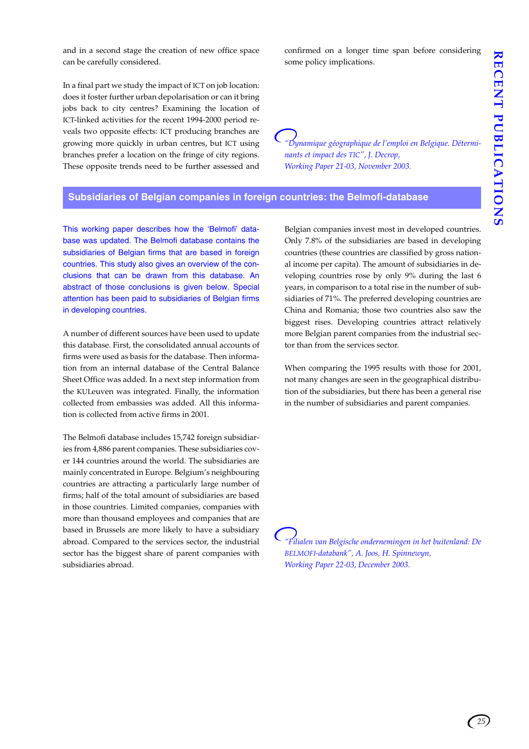and in a second stage the creation of new office space can be carefully considered.

In a final part we study the impact of ICT on job location: does it foster further urban depolarisation or can it bring jobs back to city centres? Examining the location of ICT-linked activities for the recent 1994-2000 period reveals two opposite effects: ICT producing branches are growing more quickly in urban centres, but ICT using branches prefer a location on the fringe of city regions. These opposite trends need to be further assessed and

confirmed on a longer time span before considering some policy implications.

*"Dynamique géographique de l'emploi en Belgique. Déterminants et impact des TIC", J. Decrop, Working Paper 21-03, November 2003.*

## **Subsidiaries of Belgian companies in foreign countries: the Belmofi-database**

This working paper describes how the 'Belmofi' database was updated. The Belmofi database contains the subsidiaries of Belgian firms that are based in foreign countries. This study also gives an overview of the conclusions that can be drawn from this database. An abstract of those conclusions is given below. Special attention has been paid to subsidiaries of Belgian firms in developing countries.

A number of different sources have been used to update this database. First, the consolidated annual accounts of firms were used as basis for the database. Then information from an internal database of the Central Balance Sheet Office was added. In a next step information from the KULeuven was integrated. Finally, the information collected from embassies was added. All this information is collected from active firms in 2001.

The Belmofi database includes 15,742 foreign subsidiaries from 4,886 parent companies. These subsidiaries cover 144 countries around the world. The subsidiaries are mainly concentrated in Europe. Belgium's neighbouring countries are attracting a particularly large number of firms; half of the total amount of subsidiaries are based in those countries. Limited companies, companies with more than thousand employees and companies that are based in Brussels are more likely to have a subsidiary abroad. Compared to the services sector, the industrial sector has the biggest share of parent companies with subsidiaries abroad.

Belgian companies invest most in developed countries. Only 7.8% of the subsidiaries are based in developing countries (these countries are classified by gross national income per capita). The amount of subsidiaries in developing countries rose by only 9% during the last 6 years, in comparison to a total rise in the number of subsidiaries of 71%. The preferred developing countries are China and Romania; those two countries also saw the biggest rises. Developing countries attract relatively more Belgian parent companies from the industrial sector than from the services sector.

When comparing the 1995 results with those for 2001, not many changes are seen in the geographical distribution of the subsidiaries, but there has been a general rise in the number of subsidiaries and parent companies.

*"Filialen van Belgische ondernemingen in het buitenland: De BELMOFI-databank", A. Joos, H. Spinnewyn, Working Paper 22-03, December 2003.*

*25*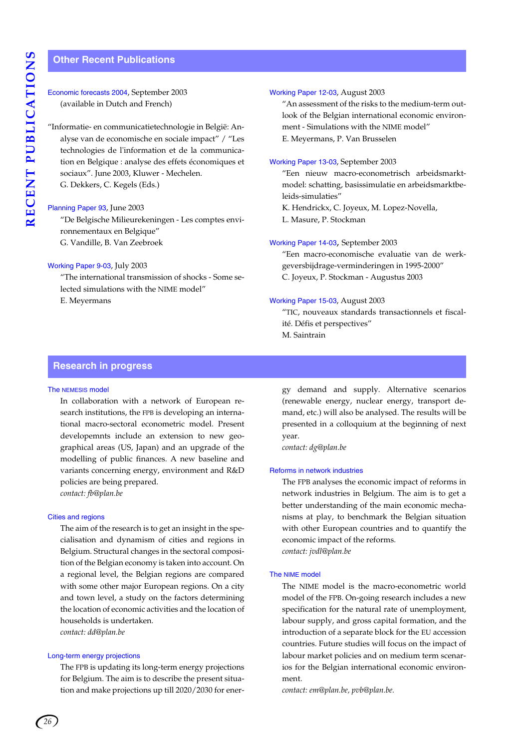## **Other Recent Publications**

| Economic forecasts 2004, September 2003 |  |
|-----------------------------------------|--|
| (available in Dutch and French)         |  |

"Informatie- en communicatietechnologie in België: Analyse van de economische en sociale impact" / "Les technologies de l'information et de la communication en Belgique : analyse des effets économiques et sociaux". June 2003, Kluwer - Mechelen. G. Dekkers, C. Kegels (Eds.)

#### Planning Paper 93, June 2003

"De Belgische Milieurekeningen - Les comptes environnementaux en Belgique" G. Vandille, B. Van Zeebroek

#### Working Paper 9-03, July 2003

"The international transmission of shocks - Some selected simulations with the NIME model" E. Meyermans

#### Working Paper 12-03, August 2003

"An assessment of the risks to the medium-term outlook of the Belgian international economic environment - Simulations with the NIME model" E. Meyermans, P. Van Brusselen

#### Working Paper 13-03, September 2003

"Een nieuw macro-econometrisch arbeidsmarktmodel: schatting, basissimulatie en arbeidsmarktbeleids-simulaties"

K. Hendrickx, C. Joyeux, M. Lopez-Novella,

L. Masure, P. Stockman

#### Working Paper 14-03, September 2003

"Een macro-economische evaluatie van de werkgeversbijdrage-verminderingen in 1995-2000" C. Joyeux, P. Stockman - Augustus 2003

#### Working Paper 15-03, August 2003

"TIC, nouveaux standards transactionnels et fiscalité. Défis et perspectives" M. Saintrain

### **Research in progress**

#### The NEMESIS model

In collaboration with a network of European research institutions, the FPB is developing an international macro-sectoral econometric model. Present developemnts include an extension to new geographical areas (US, Japan) and an upgrade of the modelling of public finances. A new baseline and variants concerning energy, environment and R&D policies are being prepared. *contact: fb@plan.be*

#### Cities and regions

The aim of the research is to get an insight in the specialisation and dynamism of cities and regions in Belgium. Structural changes in the sectoral composition of the Belgian economy is taken into account. On a regional level, the Belgian regions are compared with some other major European regions. On a city and town level, a study on the factors determining the location of economic activities and the location of households is undertaken. *contact: dd@plan.be*

#### Long-term energy projections

The FPB is updating its long-term energy projections for Belgium. The aim is to describe the present situation and make projections up till 2020/2030 for energy demand and supply. Alternative scenarios (renewable energy, nuclear energy, transport demand, etc.) will also be analysed. The results will be presented in a colloquium at the beginning of next year.

*contact: dg@plan.be*

#### Reforms in network industries

The FPB analyses the economic impact of reforms in network industries in Belgium. The aim is to get a better understanding of the main economic mechanisms at play, to benchmark the Belgian situation with other European countries and to quantify the economic impact of the reforms. *contact: jvdl@plan.be*

#### The NIME model

The NIME model is the macro-econometric world model of the FPB. On-going research includes a new specification for the natural rate of unemployment, labour supply, and gross capital formation, and the introduction of a separate block for the EU accession countries. Future studies will focus on the impact of labour market policies and on medium term scenarios for the Belgian international economic environment.

*contact: em@plan.be, pvb@plan.be.*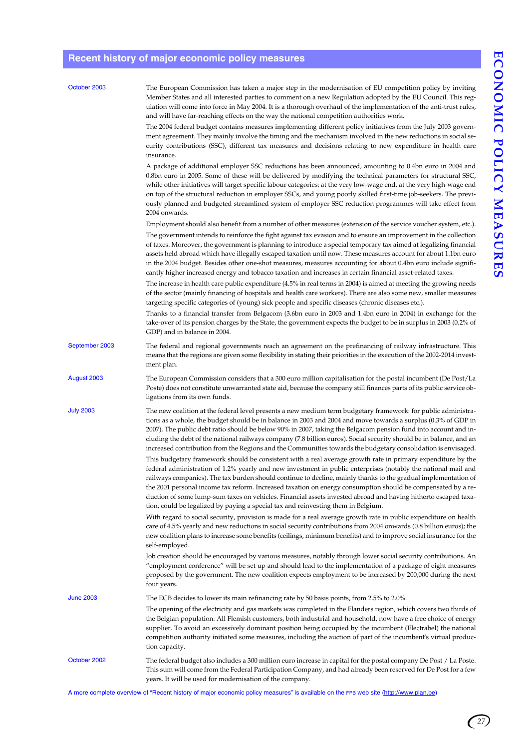*27*

## **Recent history of major economic policy measures**

| October 2003     | The European Commission has taken a major step in the modernisation of EU competition policy by inviting<br>Member States and all interested parties to comment on a new Regulation adopted by the EU Council. This reg-<br>ulation will come into force in May 2004. It is a thorough overhaul of the implementation of the anti-trust rules,<br>and will have far-reaching effects on the way the national competition authorities work.<br>The 2004 federal budget contains measures implementing different policy initiatives from the July 2003 govern-<br>ment agreement. They mainly involve the timing and the mechanism involved in the new reductions in social se-                                                                                                                                                                                                                                                                                                                                                                                                                                                                                                                                                                                      |
|------------------|--------------------------------------------------------------------------------------------------------------------------------------------------------------------------------------------------------------------------------------------------------------------------------------------------------------------------------------------------------------------------------------------------------------------------------------------------------------------------------------------------------------------------------------------------------------------------------------------------------------------------------------------------------------------------------------------------------------------------------------------------------------------------------------------------------------------------------------------------------------------------------------------------------------------------------------------------------------------------------------------------------------------------------------------------------------------------------------------------------------------------------------------------------------------------------------------------------------------------------------------------------------------|
|                  | curity contributions (SSC), different tax measures and decisions relating to new expenditure in health care<br>insurance.<br>A package of additional employer SSC reductions has been announced, amounting to 0.4bn euro in 2004 and<br>0.8bn euro in 2005. Some of these will be delivered by modifying the technical parameters for structural SSC,<br>while other initiatives will target specific labour categories: at the very low-wage end, at the very high-wage end<br>on top of the structural reduction in employer SSCs, and young poorly skilled first-time job-seekers. The previ-<br>ously planned and budgeted streamlined system of employer SSC reduction programmes will take effect from<br>2004 onwards.                                                                                                                                                                                                                                                                                                                                                                                                                                                                                                                                      |
|                  | Employment should also benefit from a number of other measures (extension of the service voucher system, etc.).<br>The government intends to reinforce the fight against tax evasion and to ensure an improvement in the collection<br>of taxes. Moreover, the government is planning to introduce a special temporary tax aimed at legalizing financial<br>assets held abroad which have illegally escaped taxation until now. These measures account for about 1.1bn euro<br>in the 2004 budget. Besides other one-shot measures, measures accounting for about 0.4bn euro include signifi-<br>cantly higher increased energy and tobacco taxation and increases in certain financial asset-related taxes.<br>The increase in health care public expenditure (4.5% in real terms in 2004) is aimed at meeting the growing needs                                                                                                                                                                                                                                                                                                                                                                                                                                  |
|                  | of the sector (mainly financing of hospitals and health care workers). There are also some new, smaller measures<br>targeting specific categories of (young) sick people and specific diseases (chronic diseases etc.).<br>Thanks to a financial transfer from Belgacom (3.6bn euro in 2003 and 1.4bn euro in 2004) in exchange for the<br>take-over of its pension charges by the State, the government expects the budget to be in surplus in 2003 (0.2% of<br>GDP) and in balance in 2004.                                                                                                                                                                                                                                                                                                                                                                                                                                                                                                                                                                                                                                                                                                                                                                      |
| September 2003   | The federal and regional governments reach an agreement on the prefinancing of railway infrastructure. This<br>means that the regions are given some flexibility in stating their priorities in the execution of the 2002-2014 invest-<br>ment plan.                                                                                                                                                                                                                                                                                                                                                                                                                                                                                                                                                                                                                                                                                                                                                                                                                                                                                                                                                                                                               |
| August 2003      | The European Commission considers that a 300 euro million capitalisation for the postal incumbent (De Post/La<br>Poste) does not constitute unwarranted state aid, because the company still finances parts of its public service ob-<br>ligations from its own funds.                                                                                                                                                                                                                                                                                                                                                                                                                                                                                                                                                                                                                                                                                                                                                                                                                                                                                                                                                                                             |
| <b>July 2003</b> | The new coalition at the federal level presents a new medium term budgetary framework: for public administra-<br>tions as a whole, the budget should be in balance in 2003 and 2004 and move towards a surplus (0.3% of GDP in<br>2007). The public debt ratio should be below 90% in 2007, taking the Belgacom pension fund into account and in-<br>cluding the debt of the national railways company (7.8 billion euros). Social security should be in balance, and an<br>increased contribution from the Regions and the Communities towards the budgetary consolidation is envisaged.<br>This budgetary framework should be consistent with a real average growth rate in primary expenditure by the<br>federal administration of 1.2% yearly and new investment in public enterprises (notably the national mail and<br>railways companies). The tax burden should continue to decline, mainly thanks to the gradual implementation of<br>the 2001 personal income tax reform. Increased taxation on energy consumption should be compensated by a re-<br>duction of some lump-sum taxes on vehicles. Financial assets invested abroad and having hitherto escaped taxa-<br>tion, could be legalized by paying a special tax and reinvesting them in Belgium. |
|                  | With regard to social security, provision is made for a real average growth rate in public expenditure on health<br>care of 4.5% yearly and new reductions in social security contributions from 2004 onwards (0.8 billion euros); the<br>new coalition plans to increase some benefits (ceilings, minimum benefits) and to improve social insurance for the<br>self-employed.                                                                                                                                                                                                                                                                                                                                                                                                                                                                                                                                                                                                                                                                                                                                                                                                                                                                                     |
|                  | Job creation should be encouraged by various measures, notably through lower social security contributions. An<br>"employment conference" will be set up and should lead to the implementation of a package of eight measures<br>proposed by the government. The new coalition expects employment to be increased by 200,000 during the next<br>four years.                                                                                                                                                                                                                                                                                                                                                                                                                                                                                                                                                                                                                                                                                                                                                                                                                                                                                                        |
| <b>June 2003</b> | The ECB decides to lower its main refinancing rate by 50 basis points, from 2.5% to 2.0%.                                                                                                                                                                                                                                                                                                                                                                                                                                                                                                                                                                                                                                                                                                                                                                                                                                                                                                                                                                                                                                                                                                                                                                          |
|                  | The opening of the electricity and gas markets was completed in the Flanders region, which covers two thirds of<br>the Belgian population. All Flemish customers, both industrial and household, now have a free choice of energy<br>supplier. To avoid an excessively dominant position being occupied by the incumbent (Electrabel) the national<br>competition authority initiated some measures, including the auction of part of the incumbent's virtual produc-<br>tion capacity.                                                                                                                                                                                                                                                                                                                                                                                                                                                                                                                                                                                                                                                                                                                                                                            |
| October 2002     | The federal budget also includes a 300 million euro increase in capital for the postal company De Post / La Poste.<br>This sum will come from the Federal Participation Company, and had already been reserved for De Post for a few<br>years. It will be used for modernisation of the company.                                                                                                                                                                                                                                                                                                                                                                                                                                                                                                                                                                                                                                                                                                                                                                                                                                                                                                                                                                   |

A more complete overview of "Recent history of major economic policy measures" is available on the FPB web site (http://www.plan.be)